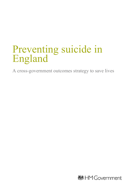# Preventing suicide in England

A cross-government outcomes strategy to save lives

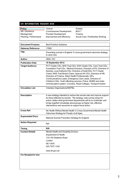#### **DH INFORMATION READER BOX**

| Policy                 | Clinical                        | Estates                           |
|------------------------|---------------------------------|-----------------------------------|
| HR / Workforce         | <b>Commissioner Development</b> | IM & T                            |
| Management             | <b>Provider Development</b>     | Finance                           |
| Planning / Performance | Improvement and Efficiency      | Social Care / Partnership Working |
|                        |                                 |                                   |

| <b>Document Purpose</b>    | <b>Best Practice Guidance</b>                                                                                                                                                                                                                                                                                                                                                                                                                                                                                                                         |  |
|----------------------------|-------------------------------------------------------------------------------------------------------------------------------------------------------------------------------------------------------------------------------------------------------------------------------------------------------------------------------------------------------------------------------------------------------------------------------------------------------------------------------------------------------------------------------------------------------|--|
| <b>Gateway Reference</b>   | 17680                                                                                                                                                                                                                                                                                                                                                                                                                                                                                                                                                 |  |
| Title                      | Preventing suicide in England: A cross-government outcomes strategy<br>to save lives                                                                                                                                                                                                                                                                                                                                                                                                                                                                  |  |
| Author                     | HMG/DH                                                                                                                                                                                                                                                                                                                                                                                                                                                                                                                                                |  |
| <b>Publication Date</b>    | 10 September 2012                                                                                                                                                                                                                                                                                                                                                                                                                                                                                                                                     |  |
| <b>Target Audience</b>     | PCT Cluster CEs, NHS Trust CEs, SHA Cluster CEs, Care Trust CEs,<br>Foundation Trust CEs, Medical Directors, Directors of PH, Directors of<br>Nursing, Local Authority CEs, Directors of Adult SSs, PCT Cluster<br>Chairs, NHS Trust Board Chairs, Special HA CEs, Directors of HR,<br>Directors of Finance, Allied Health Professionals, GPs,<br>Communications Leads, Emergency Care Leads, Directors of<br>Children's SSs, Youth offending services, Police, NOMS and wider<br>criminal justice system, Coroners, Royal Colleges, Transport bodies |  |
| <b>Circulation List</b>    | Voluntary Organisations/NDPBs                                                                                                                                                                                                                                                                                                                                                                                                                                                                                                                         |  |
| <b>Description</b>         | A new strategy intended to reduce the suicide rate and improve support<br>for those affected by suicide. The strategy: sets out key areas for<br>action; states what government departments will do to contribute; and<br>brings together knowledge about groups at higher risk, effective<br>interventions and resources to support local action.                                                                                                                                                                                                    |  |
| <b>Cross Ref</b>           | No Health Without Mental Health: A Cross-Government Mental Health<br>Outcomes Strategy for People of all Ages                                                                                                                                                                                                                                                                                                                                                                                                                                         |  |
| <b>Superseded Docs</b>     | National Suicide Prevention Strategy for England                                                                                                                                                                                                                                                                                                                                                                                                                                                                                                      |  |
| <b>Action Required</b>     | N/A                                                                                                                                                                                                                                                                                                                                                                                                                                                                                                                                                   |  |
| Timing                     | N/A                                                                                                                                                                                                                                                                                                                                                                                                                                                                                                                                                   |  |
| <b>Contact Details</b>     | Mental Health and Disability Division<br>Department of Health<br>133-155 Waterloo Road<br>London<br>SE18UG<br>020 7972 1332<br>www.dh.gov.uk/                                                                                                                                                                                                                                                                                                                                                                                                         |  |
| <b>For Recipient's Use</b> |                                                                                                                                                                                                                                                                                                                                                                                                                                                                                                                                                       |  |
|                            |                                                                                                                                                                                                                                                                                                                                                                                                                                                                                                                                                       |  |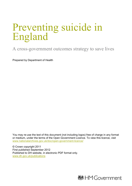# Preventing suicide in England

A cross-government outcomes strategy to save lives

Prepared by Department of Health

You may re-use the text of this document (not including logos) free of charge in any format or medium, under the terms of the Open Government Licence. To view this licence, visit [www.nationalarchives.gov.uk/doc/open-government-licence/](http://www.nationalarchives.gov.uk/doc/open-government-licence/)

© Crown copyright 2011 First published September 2012 Published to DH website, in electronic PDF format only. [www.dh.gov.uk/publications](http://www.dh.gov.uk/publications)

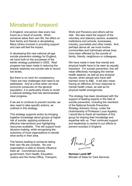# <span id="page-3-0"></span>Ministerial Foreword

In England, one person dies every two hours as a result of suicide. When someone takes their own life, the effect on their family and friends is devastating. Many others involved in providing support and care will feel the impact.

In developing this new national all-age suicide prevention strategy for England, we have built on the successes of the earlier strategy published in 2002. Real progress has been made in reducing the already relatively low suicide rate to record low levels.

But there is no room for complacency. There are new challenges that need to be addressed. And at a time when we have economic pressures on the general population, it is particularly timely to revisit a national strategy that has demonstrated clear progress.

If we are to continue to prevent suicide, we also need to take specific actions, as outlined in this strategy.

This strategy supports action by bringing together knowledge about groups at higher risk of suicide, applying evidence of effective interventions and highlighting resources available. This will support local decision-making, while recognising the autonomy of local organisations to decide what works in their area.

The factors leading to someone taking their own life are complex. No one organisation is able to directly influence them all. Commitment across government, from Health, Education, Justice and the Home Office, Transport, Work and Pensions and others will be vital. We also need the support of the voluntary and statutory sectors, academic institutions and schools, businesses, industry, journalists and other media. And, perhaps above all, we must involve communities and individuals whose lives have been affected by the suicide of family, friends, neighbours or colleagues.

We have made it clear that mental and physical health have to be seen as equally important. For suicide prevention, this will mean effectively managing the mental health aspects, as well as any physical injuries, when people who have selfharmed come to A&E. It will also mean having an effective 24 hour response to mental health crises, as well as for physical health emergencies.

The strategy has been developed with the support of leading experts in the field of suicide prevention, including the members of the National Suicide Prevention Strategy Advisory Group, under the chairmanship of Professor Louis Appleby. I would like to thank all members of this group for sharing their knowledge and expertise with us. Their continued support and leadership is central to our efforts to prevent suicides in England.

 $M_{\rm bol}$ 

**Norman Lamb MP** Minister of State for Care Services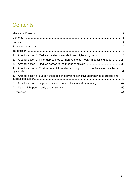# <span id="page-4-0"></span>**Contents**

|    | 2. Area for action 2: Tailor approaches to improve mental health in specific groups  21   |  |
|----|-------------------------------------------------------------------------------------------|--|
| 3. |                                                                                           |  |
| 4. | Area for action 4: Provide better information and support to those bereaved or affected   |  |
|    | 5. Area for action 5: Support the media in delivering sensitive approaches to suicide and |  |
|    | 6. Area for action 6: Support research, data collection and monitoring  47                |  |
| 7. |                                                                                           |  |
|    |                                                                                           |  |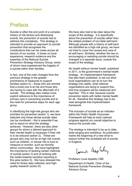### <span id="page-5-0"></span>Preface

Suicide is often the end point of a complex history of risk factors and distressing events; the prevention of suicide has to address this complexity. This strategy is intended to provide an approach to suicide prevention that recognises the contributions that can be made across all sectors of our society. It draws on local experience, research evidence and the expertise of the National Suicide Prevention Strategy Advisory Group, some of whom have experienced the tragedy of a suicide within their families.

In fact, one of the main changes from the previous strategy is the greater prominence of measures to support families (action 4) – those who are worried that a loved one is at risk and those who are having to cope with the aftermath of a suicide. The strategy also makes more explicit reference to the importance of primary care in preventing suicide and to the need for preventive steps for each age group.

In identifying the high-risk groups who are priorities for prevention (action 1), we have selected only those whose suicide rates can be monitored – this is essential if we are to report on what the strategy achieves. However, there are also other groups for whom a tailored approach to their mental health is necessary if their risk is to be reduced (action 2). These are groups who may not be at high risk overall, such as children, or whose risk is hard to measure or monitor, such as minority ethnic communities. We have highlighted the importance of tackling certain methods of suicide (action 3) and of working with the media towards sensitive reporting in this area (action 5). We have stressed the need for timely data collection and highquality research (action 6).

We have also had to be clear about the scope of the strategy. It is specifically about the prevention of suicide rather than the related problem of non-fatal self-harm. Although people with a history of self-harm are identified as a high risk group, we have not tried to cover the causes and care of all self-harm. Similarly, whether the law on encouraging or assisting suicide should be changed is a separate issue, outside the scope of the strategy.

*No health without mental health*, published in 2011, is the government's mental health strategy. An implementation framework has also been published, to set out what local organisations can do to turn the strategy into reality, what national organisations are doing to support this, and how progress will be measured and reported. This is vital, because suicide prevention starts with better mental health for all - therefore this strategy has to be read alongside that implementation framework.

The inclusion of suicide as an indicator within the Public Health Outcomes Framework will help to track national progress against our overall objective to reduce the suicide rate.

The strategy is intended to be up to date, wide-ranging and ambitious. Its publication marks the beginning of a new drive to reduce further the avoidable toll of suicide in England.

Louis Arr Cily

Professor Louis Appleby CBE

Department of Health, Chair of the National Suicide Prevention Strategy Advisory Group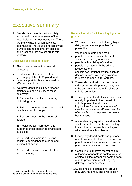# <span id="page-6-0"></span>Executive summary

[1](#page--1-0). Suicide<sup>1</sup> is a maior issue for society and a leading cause of years of life lost. Suicides are not inevitable. There are many ways in which services, communities, individuals and society as a whole can help to prevent suicides and it is these that are set out in this strategy.

#### Objectives and areas for action

- 2. This strategy sets out our overall objectives:
- a reduction in the suicide rate in the general population in England; and
- better support for those bereaved or affected by suicide.
- 3. We have identified six key areas for action to support delivery of these objectives:

**1**: Reduce the risk of suicide in key high-risk groups

**2:** Tailor approaches to improve mental health in specific groups

**3:** Reduce access to the means of suicide

**4:** Provide better information and support to those bereaved or affected by suicide

**5:** Support the media in delivering sensitive approaches to suicide and suicidal behaviour

**6:** Support research, data collection and monitoring.

#### Reduce the risk of suicide in key high-risk groups

- 4. We have identified the following highrisk groups who are priorities for prevention:
- young and middle-aged men
- people in the care of mental health services, including inpatients
- people with a history of self-harm
- people in contact with the criminal justice system
- specific occupational groups, such as doctors, nurses, veterinary workers, farmers and agricultural workers.
- 5. Those who work with men in different settings, especially primary care, need to be particularly alert to the signs of suicidal behaviour.
- 6. Treating mental and physical health as equally important in the context of suicide prevention will have implications for the management of care for people who self-harm, and for effective 24 hour responses to mental health crises.
- 7. Accessible, high-quality mental health services are fundamental to reducing the suicide risk in people of all ages with mental health problems.
- 8. Emergency departments and primary care have important roles in the care of people who self-harm, with a focus on good communication and follow-up.
- 9. Continuing to improve mental health outcomes for people in contact with the criminal justice system will contribute to suicide prevention, as will ongoing delivery of safer custody.
- 10.Suicide risk by occupational groups may vary nationally and even locally,

<span id="page-6-1"></span>Suicide is used in this document to mean a deliberate act that intentionally ends one's life.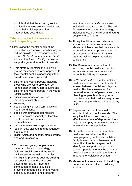and it is vital that the statutory sector and local agencies are alert to this, and adapt their suicide prevention interventions accordingly.

#### Tailor approaches to improve mental health in specific groups

- 11.Improving the mental health of the population as a whole is another way to reduce suicide. The measures set out in both *No health without mental health* and *Healthy Lives, Healthy People* will support a general reduction in suicides.
- 12.This strategy identifies the following groups for whom a tailored approach to their mental health is necessary if their suicide risk is to be reduced:
- children and young people, including those who are vulnerable such as looked after children, care leavers and children and young people in the youth justice system;
- survivors of abuse or violence, including sexual abuse;
- veterans;
- people living with long-term physical health conditions;
- people with untreated depression;
- people who are especially vulnerable due to social and economic circumstances;
- people who misuse drugs or alcohol;
- lesbian, gay, bisexual and transgender people; and
- Black, Asian and minority ethnic groups and asylum seekers.
- 13.Children and young people have an important place in this strategy. Schools, social care and the youth justice system, as well as charities highlighting problems such as bullying, low body image and lack of selfesteem, all have an important contribution to make to suicide prevention among children and young people. Measures to help parents

keep their children safe online are included in area for action 5. The call for research to support the strategy includes a focus on children and young people and self-harm.

- 14.Timely identification and referral of women and children experiencing abuse or violence, so that they are able to benefit from appropriate support, is of course a positive step in its own right, as well as helping to reduce suicide risk.
- 15.The Government is committed to improving mental health support for service and ex-service personnel through the Military Covenant.
- 16.In *No health without mental health* we made it clear that we expect parity of esteem between mental and physical health. Routine assessment for depression as part of personalised care planning for people with long-term conditions, can help reduce inequalities and help people to have a better quality of life.
- 17.Depression is one of the most important risk factors for suicide. The early identification and prompt, effective treatment of depression has a major role to play in preventing suicide across the whole population.
- 18.Given the links between mental illhealth and social factors like unemployment, debt, social isolation, family breakdown and bereavement, the ability of front-line agencies to identify and support (or signpost to support) people who may be at risk of developing mental health problems is important for suicide prevention.
- 19.Measures that reduce alcohol and drug dependence are critical to reducing suicide.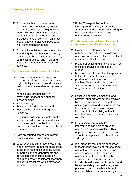- 20.Staff in health and care services, education and the voluntary sector need to be aware of the higher rates of mental distress, substance misuse, suicidal behaviour or ideation and increased risks of self-harm amongst lesbian, gay and bisexual people, as well as transgender people.
- 21.Community initiatives can be effective in bridging the gap between statutory services and Black, Asian and minority ethnic communities, and in tackling inequalities in health and access to services.

#### Reduce access to the means of suicide

- 22.One of the most effective ways to prevent suicide is to reduce access to high-lethality means of suicide. Suicide methods most amenable to intervention are:
- hanging and strangulation in psychiatric inpatient and criminal justice settings;
- self-poisoning;
- those in high-risk locations; and
- those on the rail and underground networks.
- 23.Continued vigilance by mental health service providers will help to identify and remove potential ligature points. Safer cells complement care for at-risk prisoners.
- 24.Safe prescribing can help to restrict access to some toxic drugs.
- 25.Local agencies can prevent loss of life when they work together to discourage suicides at high-risk locations. Local authority planning departments and developers can include suicide in health and safety considerations when designing structures which may offer suicide opportunities.

26.British Transport Police, London Underground Limited, Network Rail, Samaritans and partners are working to reduce suicides on the rail and underground networks.

#### Provide better information and support to those bereaved or affected by suicide

- 27.Every suicide affects families, friends, colleagues and others. Suicide can also have a profound effect on the local community. It is important to:
- provide effective and timely support for families bereaved or affected by suicide;
- have in place effective local responses to the aftermath of a suicide; and
- provide information and support for families, friends and colleagues who are concerned about someone who may be at risk of suicide.
- 28.Effective and timely emotional and practical support for families bereaved by suicide is essential to help the grieving process and support recovery. It is important the GPs are vigilant to the potential vulnerability of family members when someone takes their own life.
- 29. Post-suicide community-level interventions can help to prevent copycat and suicide clusters. This approach may be adapted for use in schools, workplaces, health and care settings.
- 30.It is important that people concerned that someone may be at risk of suicide can get information and support as soon as possible. For individuals already under the care of health or social services, family, carers and friends should know who to contact and be appropriately involved in any care planning. Help is available through many outlets across the statutory and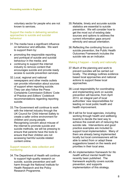voluntary sector for people who are not known to services.

Support the media in delivering sensitive approaches to suicide and suicidal behaviour

- 31.The media have a significant influence on behaviour and attitudes. We want to support them by:
- promoting the responsible reporting and portrayal of suicide and suicidal behaviour in the media; and
- continuing to support the internet industry to remove content that encourages suicide and provide ready access to suicide prevention services.
- 32.Local, regional and national newspapers and other media outlets can provide information about sources of support when reporting suicide. They can also follow the Press Complaints Commission Editors' Code of Practice and *Editors' Codebook* recommendations regarding reporting suicide.
- 33.The Government will continue to work with the internet industry through the UK Council for Child Internet Safety to create a safer online environment for children and young people. Recognising concern about misuse of the internet to promote suicide and suicide methods, we will be pressing to ensure that parents have the tools to ensure that their children are not accessing harmful suicide-related content online.

#### Support research, data collection and monitoring

34.The Department of Health will continue to support high-quality research on suicide, suicide prevention and selfharm through the National Institute for Health Research and the Policy Research Programme.

- 35.Reliable, timely and accurate suicide statistics are essential to suicide prevention. We will consider how to get the most out of existing data sources and options to address the current information gaps around ethnicity and sexual orientation.
- 36.Reflecting the continuing focus on suicide prevention, the Public Health Outcomes Framework includes the suicide rate as an indicator.

#### Making it happen – locally and nationally

- 37.Much of the planning and work to prevent suicides will be carried out locally. The strategy outlines evidence based local approaches and national actions to support these local approaches.
- 38.Local responsibility for coordinating and implementing work on suicide prevention will become, from April 2013, an integral part of local authorities' new responsibilities for leading on local public health and health improvement.
- 39.It will be for local agencies, including working through health and wellbeing boards to decide the best way to achieve the overall aim of reducing the suicide rate. Interventions and good practice examples are included to support local implementation. Many of them are already being implemented locally but local commissioners will be able to select from or adapt these suggestions based on the needs and priorities in their local area.
- 40.An implementation framework for *No health without mental health* has recently been published. The framework explicitly covers suicide prevention, and supports implementation of this strategy.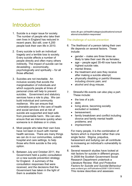# <span id="page-10-0"></span>Introduction

- 1. Suicide is a major issue for society. The number of people who take their own lives in England has reduced in recent years. But still, over 4,200 people took their own life in 2010.
- 2. Every suicide is both an individual tragedy and a terrible loss to society. Every suicide affects a number of people directly and often many others indirectly. The impact of suicide can be devastating – economically, psychologically and spiritually – for all those affected.
- 3. Suicides are not inevitable. An inclusive society that avoids the marginalisation of individuals and which supports people at times of personal crisis will help to prevent suicides. Government and statutory services have a role to play. We can build individual and community resilience. We can ensure that vulnerable people in the care of health and social services and at risk of suicide are supported and kept safe from preventable harm. We can also ensure that we intervene quickly when someone is in distress or in crisis.
- 4. Most people who take their own lives have not been in touch with mental health services. There are many things we can do in our communities, outside hospital and care settings, to help those who think suicide is the only option.
- 5. Between July and October 2011, the Government held a public consultation on a new suicide prevention strategy for England. A summary of the consultation responses that were received, and the decisions that the Government has taken in the light of them is available from

www.dh.gov.uk/health/category/publications/consult ations/consultation-responses/

#### The challenge of suicide prevention

- 6. The likelihood of a person taking their own life depends on several factors. These include:
	- gender males are three times as likely to take their own life as females:
	- age people aged 35-49 now have the highest suicide rate;
	- mental illness:
	- the treatment and care they receive after making a suicide attempt;
	- physically disabling or painful illnesses including chronic pain; and
	- alcohol and drug misuse.
- 7. Stressful life events can also play a part. These include:
	- the loss of a job;
	- debt;
	- living alone, becoming socially excluded or isolated;
	- bereavement;
	- family breakdown and conflict including divorce and family mental health problems; and
	- imprisonment.

For many people, it is the combination of factors which is important rather than one single factor. Stigma, prejudice, harassment and bullying can all contribute to increasing an individual's vulnerability to suicide.

8. Several research studies have looked at risk factors for suicide in different groups. In 2008 the Scottish Government Social Research Department undertook a Literature Review: *Risk and Protective Factors for Suicide and Suicidal Behaviour* www.scotland.gov.uk/Publications/2008/11/28141444/0. This review describes and assesses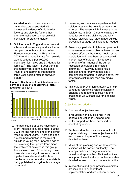knowledge about the societal and cultural factors associated with increased incidence of suicide (risk factors) and also the factors that promote resilience against suicidal behaviour (protective factors).

9. Suicide rates in England have been at a historical low recently and are low in comparison to those of most other European countries. In England in 2008-10, the mortality rate from suicide was 12.2 deaths per 100,000 population for males and 3.7 deaths for females. $<sup>1</sup>$  $<sup>1</sup>$  $<sup>1</sup>$  The latest 15-year trend in</sup> the mortality rate from suicide and injury of undetermined intent using three-year pooled rates is shown in Figure 1.

**Figure 1: Death rates from intentional selfharm and injury of undetermined intent, England 1994-2010**



10.The past couple of years have seen a slight increase in suicide rates, but the 2008-10 rate remains one of the lowest rates in recent years. There has been a sustained reduction in the rate of suicide in young men under the age of 35, reversing the upward trend since the problem of suicides in this group first escalated over 30 years ago. We have also seen significant reductions in inpatient suicides and self-inflicted deaths in prison. A statistical update is being published alongside this strategy document.

- 11.However, we know from experience that suicide rates can be volatile as new risks emerge. The recent slight increase in the suicide rate in 2008-10 demonstrates the need for continuing vigilance and why, despite relatively low rates, a new suicide prevention strategy for England is needed.
- 12.Previously, periods of high unemployment or severe economic problems have had an adverse effect on the mental health of the population and have been associated with higher rates of suicide. $2$  Evidence is emerging of an impact of the current recession on suicides in affected countries.<sup>[3](#page-46-2)</sup> However, suicide risk is complex and for many people it is a combination of factors, outlined above, that determines risk rather than any single factor.
- 13.This suicide prevention strategy can help us reduce further the rates of suicide in England and respond positively to the challenges we will face over the coming years.

#### Objectives and priorities

- 14.Our overall objectives are:
- a reduction in the suicide rate in the general population in England; and
- better support for those bereaved or affected by suicide.
- 15.We have identified six areas for action to support delivery of these objectives which each have a chapter of this strategy devoted to them.
- 16.Much of the planning and work to prevent suicides will be carried out locally. The strategy outlines a range of evidence based local approaches. National actions to support these local approaches are also detailed for each of the six areas for action.
- 17. Interventions and good practice examples are included to support local implementation and are not compulsory.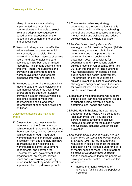Many of them are already being implemented locally but local commissioners will be able to select from and adapt these suggestions based on their assessment of the needs and agreement of the priorities in their local area.

- 18.We should always use cost-effective evidence-based approaches which work as early as possible. This is above all in the best interests of service users - and also enables the care services to make best use of limited resources. This means getting it right first time - improving outcomes and preventing problems from getting worse to avoid the need for more expensive interventions later on.
- 19.We need to tackle all the factors which may increase the risk of suicide in the communities where they occur if our efforts are to be effective. Suicide prevention is most effective when it is combined as part of wider work addressing the social and other determinants of poor health, wellbeing or illness.

#### Outcomes strategies and making an impact

20. Cross-cutting outcomes strategies recognise that the Government can achieve more in partnership with others than it can alone, and that services can achieve more through integrated working than they can through working in isolation from one another. This new approach builds on existing joint working across central government departments, and between the Government, local government, local organisations, employers, service users and professional groups, by unlocking the creativity and innovation suppressed by a top-down approach.

- 21.There are two other key strategy documents that, in combination with this one, take a public health approach using general and targeted measures to improve mental health and wellbeing and reduce suicides across the whole population.
- 22.*Healthy Lives, Healthy People: Our strategy for public health in England* (2010) gives a new, enhanced role to local government and local partnerships in delivering improved public health outcomes. Local responsibility for coordinating and implementing work on suicide prevention will become, from April 2013, an integral part of local authorities' new responsibilities for leading on local public health and health improvement. The prompts for local councillors on suicide prevention published alongside this strategy are designed as helpful pointers for how local work on suicide prevention can be taken forward.
- 23. Health and wellbeing boards will support effective local partnerships and will be able to support suicide prevention as they determine local needs and assets.
- 24.Public Health England, the new national agency for public health, will also support local authorities, the NHS and their partners across England to achieve improved outcomes for the public's health and wellbeing, including work on suicide prevention.
- 25.*No health without mental health: A crossgovernment outcomes strategy for people of all ages* (2011) is key in supporting reductions in suicide amongst the general population as well as those under the care of mental health services. The first agreed objective of *No health without mental health* aims to ensure that more people will have good mental health. To achieve this, we need to:
	- improve the mental wellbeing of individuals, families and the population in general;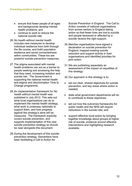- ensure that fewer people of all ages and backgrounds develop mental health problems; and
- continue to work to reduce the national suicide rate.
- 26.*No health without mental health* includes new measures to develop individual resilience from birth through the life course, and build population resilience and social connectedness within communities. These too are powerful suicide prevention measures.
- 27.The stigma associated with mental health problems can act as a barrier to people seeking and accessing the help that they need, increasing isolation and suicide risk. The Government is supporting the national mental health anti-stigma and discrimination Time to Change programme.
- 28.An implementation framework for *No health without mental health* was published in July 2012. This sets out what local organisations can do to implement the mental health strategy, what work is underway nationally to support them, and how progress against the strategy's aims will be measured. The framework explicitly covers suicide prevention, and supports implementation of this new suicide prevention strategy so should be read alongside this document.
- 29.During the development of this suicide prevention strategy, Samaritans have been facilitating a Call to Action for

Suicide Prevention in England. The Call to Action consists of national organisations from across sectors in England taking action so that fewer lives are lost to suicide and people bereaved or affected by a suicide receive the right support.

- 30.Member organisations have signed a declaration on suicide prevention for England; mapped existing suicide reduction and support activity in their organisations and identified priorities for joint action.
- 31.We are publishing separately an assessment of the impact on equalities of this strategy.
- 32.Our approach in this strategy is to:
- set out clear, shared objectives for suicide prevention, and key areas where action is needed;
- state what government departments will do to contribute to these objectives;
- set out how the outcomes frameworks for public health and the NHS will require reductions in the suicide rate; and
- support effective local action by bringing together knowledge about groups at higher risk of suicide, evidence around effective interventions and highlighting research available.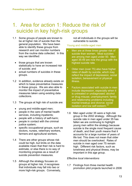# <span id="page-14-0"></span>1. Area for action 1: Reduce the risk of suicide in key high-risk groups

- 1.1 Some groups of people are known to be at higher risk of suicide than the general population. We have been able to identify these groups from research and can monitor numbers from the routine data collected. In this way we identified:
	- those groups that are known statistically to have an increased risk of suicide; and
	- actual numbers of suicides in these groups.
- 1.2 In addition, evidence already exists on which to base preventative measures in these groups. We are also able to monitor the impact of preventative measures taken using existing data collections.
- 1.3 The groups at high risk of suicide are:
	- young and middle-aged men;
	- people in the care of mental health services, including inpatients;
	- people with a history of self-harm;
	- people in contact with the criminal justice system;
	- specific occupational groups, such as doctors, nurses, veterinary workers, farmers and agricultural workers.
- 1.4 There are other groups whose risk could be high, but limits on the data available mean that their risk is hard to estimate, or else there is no way of monitoring progress as a result of suicide prevention measures.
- 1.5 Although the strategy focuses on groups at higher risk, it recognises that individuals may fall into two or more high-risk groups. Conversely,

not all individuals in the groups will be vulnerable to suicide.

#### Young and middle-aged men

- Men are at three times greater risk of suicide than women. Most suicides are among men aged under 50. Men aged 35-49 are now the group with the highest suicide rate.
- Older men (over 75) also have higher rates of death by suicide, which may reflect the impact of depression, social isolation, bereavement or physical illness.
- Factors associated with suicide in men include depression, especially when it is untreated or undiagnosed; alcohol or drug misuse; unemployment; family and relationship problems including marital breakup and divorce; social isolation and low self-esteem.<sup>[4](#page-46-3)</sup>
- 1.6 Men aged under 35 were a high-risk group in the 2002 strategy. Although the suicide rate in men aged under 35 has fallen we are continuing to highlight young men within the strategy because suicide is the single most frequent cause of death, and their youth means that it accounts for a large number of years of life lost. This does not mean that older men should be overlooked. Rates of suicide in men aged over 75 remain high. Different risk factors, such as loneliness and physical illness, may be important in this age group.

#### *Effective local interventions*

1.7 Findings from three mental health promotion pilot projects launched in 2006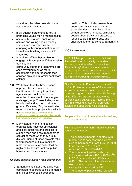to address the raised suicide risk in young men show that:

- multi-agency partnership is key to promoting young men's mental health;
- community locations, such as job centres and young people-friendly venues, are more successful in engaging with young men than more formal health settings such as GP surgeries;
- front-line staff feel better able to engage with young men if they receive training; and
- community outreach programmes are seen by young men as more acceptable and approachable than services provided in formal healthcare settings.
- 1.8 We believe that this broad-based approach has improved the identification of risk by front-line agencies and contributed to the reduction in suicides in the younger male age group. These findings can be adapted and applied to all age groups. *Reaching Out*, the evaluation report of the three projects is available at [www.nmhdu.org.uk/nmhdu/en/our](http://www.nmhdu.org.uk/nmhdu/en/our-work/promoting-wellbeing-and-public-mental-health/suicide-prevention-resources/)[work/promoting-wellbeing-and-public-mental](http://www.nmhdu.org.uk/nmhdu/en/our-work/promoting-wellbeing-and-public-mental-health/suicide-prevention-resources/)[health/suicide-prevention-resources/](http://www.nmhdu.org.uk/nmhdu/en/our-work/promoting-wellbeing-and-public-mental-health/suicide-prevention-resources/)
- 1.9 Many statutory and third sector organisations have set up regional and local initiatives and projects to support men and encourage them to contact services when they are in distress. Some of these projects take their messages out into traditional male territories, such as football and rugby clubs, leisure centres, public houses and music venues.

#### *National action to support local approaches*

1.10 Samaritans has launched a five-year campaign to address suicide in men in mid-life of lower socio-economic

position. This includes research to understand why this group is at excessive risk of dying by suicide compared to other groups, stimulating debate about policy and practice to reduce suicide in this group, and encouraging men to contact Samaritans.

#### *Helpful resources*

NHS Hull has produced a short fictional film to help men in the city understand depression and its effect on their lives. 'Peter's Story' aims to encourage men, particularly in the 25–50 age group, to think and talk about issues with their mental health and wellbeing. [www.peters-story.co.uk](http://www.peters-story.co.uk/)

The Men's Health Forum has published *Untold Problems: a review of the essential issues in the mental health of men and boys* and a good practice guide, *Delivering Male: Effective practice in male mental health*, setting out ways to improve men's health, including strategies to prevent suicide and encourage help-seeking.

People in the care of mental health services, including inpatients

Patient safety in the mental health services continues to improve.

- The number of people in contact with mental health services who died by suicide has reduced from 1,253 in 2000 to an estimated 1,187 in 2010, a reduction of 66 deaths (5%)
- The number of inpatients who died by suicide reduced from 196 in 2000 to 74 in 2010, a reduction of 122 deaths (62%). The number of inpatients who died on wards by hanging or strangulation reduced by 54% The number of patients who refused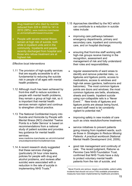drug treatment who died by suicide reduced from 229 in 2000 to 141 in 2010 (38%). www.medicine.manchester. ac.uk/mentalhealth/research/suicide/

• People with severe mental illness remain at high risk of suicide, both while in inpatient units and in the community. Inpatients and people recently discharged from hospital and those who refuse treatment are at highest risk.

#### *Effective local interventions*

- 1.11 The provision of high-quality services that are equally accessible to all is fundamental to reducing the suicide risk in people of all ages with mental health problems.
- 1.12 Although much has been achieved by front-line staff to reduce suicides in people with mental health problems, they remain a group at high risk, so it is important that mental health services remain vigilant and continue to strengthen clinical practice.
- 1.13 The National Confidential Inquiry into Suicide and Homicide by People with Mental Illness (NCI) checklist 'Twelve Points to a Safer Service' is based on recommendations from a national study of patient suicides and provides key guidance for mental health services.

www.medicine.manchester.ac.uk/cmhr/centref orsuicideprevention/nci/saferservices

<span id="page-16-0"></span>1.14 A recent research study suggested that these services changes (particularly 24 hour crisis teams, policies for people with drug and alcohol problems, and reviews after suicide) were associated with a reduction in the rate of suicide in implementing NHS Trusts.<sup>[6](#page-46-5)</sup>

- 1.15 Approaches identified by the NCI which can contribute to a reduction in suicide rates include:
- improving care pathways between emergency departments, primary and secondary care, inpatient and community care, and on hospital discharge;
- ensuring that front-line staff working with high-risk groups receive training in the recognition, assessment and management of risk and fully understand their roles and responsibilities;
- regular assessments of ward areas to identify and remove potential risks, i.e. ligatures and ligature points, access to medications, access to windows and high-risk areas (gardens, bathrooms and balconies). The most common ligature points are doors and windows; the most common ligatures are belts, shoelaces, sheets and towels. Inpatient suicide using non-collapsible rails is a 'Never Event'.<sup>[7](#page-46-6)[\\*](#page-6-1)</sup> New kinds of ligatures and ligature points are always being found, so ward staff need to be constantly vigilant to potential risk; $<sup>8</sup>$  $<sup>8</sup>$  $<sup>8</sup>$ </sup>
- improving safety in new models of care such as crisis resolution/home treatment;
- service initiatives to prevent patients going missing from inpatient wards, such as those in *Strategies to Reduce Missing Patients: A practical workbook* (National Mental Health Development Unit, 2009);
- good risk management and continuity of care. The recent judgment, Rabone vs Pennine Care NHS Foundation Trust, confirmed that NHS Trusts have a duty to protect voluntary mental health patients from the risk of suicide, and

 $\overline{a}$ 

Never Events are serious, largely preventable, patient safety incidents that should not occur if the available preventative measures have been implemented by healthcare providers.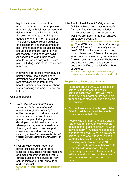highlights the importance of risk management. Aligning care planning more closely with risk assessment and risk management is important, as is the provision of regular training and updates for staff in risk management. The Department of Health guidance on assessment and management of risk $9$  emphasises that risk assessment should be an integral part of clinical assessment, not a separate activity. All service users and their carers should be given a copy of their care plan, including crisis plans and contact numbers;

• innovative approaches which may be helpful: many local services have developed ways to follow up people recently discharged from mental health inpatient units using telephone, text messaging and email, as well as letters.

#### *Helpful resources*

- 1.16 *No health without mental health: Delivering better mental health outcomes for people of all ages*  outlines a range of evidence-based treatments and interventions to prevent people of all ages from developing mental health problems where possible, intervene early when they do, and develop and support speedy and sustained recovery. www.dh.gov.uk/en/Publicationsandstatistics/P ublications/PublicationsPolicyAndGuidance/D H\_123737
- 1.17 NCI provides regular reports on patient suicides and up-to-date statistical data. These reports highlight and make recommendations where clinical practice and service delivery can be improved to prevent suicide and reduce risk.

[www.medicine.manchester.ac.uk/suicidepreve](http://www.medicine.manchester.ac.uk/suicideprevention/nci) [ntion/nci](http://www.medicine.manchester.ac.uk/suicideprevention/nci)

1.18 The National Patient Safety Agency's (NPSA's) *Preventing Suicide: A toolkit for mental health services* includes measures for services to assess how well they are meeting the best practice on suicide prevention.<br>www.nrls.npsa.nhs.uk/resources/?EntryId45=652

[97.](http://www.nrls.npsa.nhs.uk/resources/?EntryId45=65297) The NPSA also published *Preventing suicide: A toolkit for community mental health (*2011). It focuses on improving care pathways and follow up for people who present at emergency departments following self-harm or suicidal behaviour and those who present at GP surgeries and are identified as at risk of self-harm [or suicide. www.nhsconfed.org/Documents/Preventing-](http://www.nhsconfed.org/Documents/Preventing-suicide-toolkit-for-community-mental-health.pdf)

[suicide-toolkit-for-community-mental-health.pdf](http://www.nhsconfed.org/Documents/Preventing-suicide-toolkit-for-community-mental-health.pdf)

#### People with a history of self-harm

- There are around 200,000 episodes of self-harm that present to hospital services each year.<sup>10</sup> However, many people who self-harm do not seek help from health or other services and so are not recorded.
- Studies have shown that by age 15-16, 7-14% of adolescents will have selfharmed once in their life.<sup>11</sup>
	- People who self-harm are at increased risk of suicide, although many people do not intend to take their own life when they self-harm.<sup>[12](#page-47-3)</sup> At least half of people who take their own life have a history of self-harm, and one in four have been treated in hospital for self-harm in the preceding year. Around one in 100 people who self-harm take their own life within the following year. Risk is particularly increased in those repeating self-harm and in those who have used violent/dangerous methods of self-harm.<sup>[13](#page-47-4)</sup>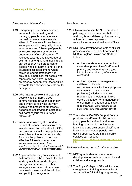#### *Effective local interventions*

- 1.19 Emergency departments have an important role in treating and managing people who have selfharmed or have made a suicide attempt. There are still problems in some places with the quality of care, assessment and follow-up of people who seek help from emergency departments after self-harming.<sup>[14](#page-47-5)</sup> Attitudes towards and knowledge of self-harm among general hospital staff can be poor. A high proportion of people who self-harm are not given a psychological assessment. Often, follow-up and treatment are not provided, in particular for people who repeatedly self-harm. In many emergency departments, the facilities available for distressed patients could be improved.
- 1.20 GPs have a key role in the care of people who self-harm. Good communication between secondary and primary care is vital, as many people who present at emergency departments following an episode of self-harm consult their GP soon afterwards.[15](#page-47-6)
- 1.21 Work undertaken by the London School of Economics has shown that suicide prevention education for GPs can have an impact as a populationlevel intervention to prevent suicide. This has the potential to be costeffective if it leads to adequate subsequent treatment. See www2.lse.ac.uk/businessAndConsultancy/LS EEnterprise/news/2011/healthstrategy.aspx
- 1.22 Appropriate training on suicide and self-harm should be available for staff working in schools and colleges, emergency departments, other emergency services, primary care, care environments and the criminal and youth justice systems.

#### *Helpful resources*

- 1.23 Clinicians can use the NICE self-harm pathway, which summarises both short and long term self-harm guidance using a flowchart based approach: www.pathways.nice.org.uk/pathways/self-harm
- 1.24 NICE has developed two sets of clinical practice guidelines on self-harm for the NHS in England, Wales and Northern Ireland:
	- on the short-term management and secondary prevention of self-harm in primary and secondary care (see http://publications.nice.org.uk/self-harmcg16); and
	- on the longer-term management of self-harm. It includes recommendations for the appropriate treatment for any underlying problems (including diagnosed mental health problems). It also covers the longer-term management of self-harm in a range of settings (see http://publications.nice.org.uk/selfharm-longer-term-management-cg133).
- 1.25 The National CAMHS Support Service produced a self-harm in children and young people handbook and an elearning package, to provide basic knowledge and awareness of self-harm in children and young people, with advice about ways staff in children's services can respond. [www.chimat.org.uk/resource/view.aspx?RID=105](http://www.chimat.org.uk/resource/view.aspx?RID=105602) [602](http://www.chimat.org.uk/resource/view.aspx?RID=105602)

- 1.26 NICE quality standards are under development on self-harm in adults and children and young people.
- 1.27 The Royal College of GPs will focus on strengthening training in mental health as part of the GP training programme,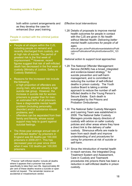both within current arrangements and as they develop the case for enhanced (four year) training.

#### People in contact with the criminal justice system

- People at all stages within the CJS, including people on remand and recently discharged from custody, are at high risk of suicide. The period of greatest risk is the first week of imprisonment.<sup>[16](#page-47-7)</sup> However, recent figures suggest that risk of self-inflicted death has decreased in the first week of custody (Ministry of Justice, Safety in Custody Statistics).
- Reasons for the increased risk include the following:
- a high proportion of offenders are young men, who are already a high suicide risk group. However, the increase in suicide risk for women prisoners is greater than for men;
- an estimated 90% of all prisoners have a diagnosable mental health problem (including personality disorder) and/or substance misuse problems; and
- offenders can be separated from their family and friends, whose social support may help to guard against suicidal feelings.
- The three-year average annual rate of self-inflicted deaths[\\*](#page-16-0) by prisoners in England was 69 deaths per 100,000 prisoners in 2009-2011. This has decreased year-on-year since 2004 when it was 132 deaths per 100,000 prisoners.

-

#### *Effective local interventions*

1.28 Details of proposals to improve mental health outcomes for people in contact with the CJS are given in *No health without Mental Health: Delivering better mental health outcomes for people of all ages*.

> www.dh.gov.uk/en/Publicationsandstatistics/Publi cations/PublicationsPolicyAndGuidance/DH\_123 737

- 1.29 The National Offender Management Service (NOMS) has a broad, integrated and evidence-based strategy $^{17}$  $^{17}$  $^{17}$  for suicide prevention and self-harm management, and is committed to reducing the number of self-inflicted deaths in prison custody. The Youth Justice Board is taking a similar approach to reduce the number of selfinflicted deaths in the Young Person's Secure Estate. Each death is investigated by the Prisons and Probation Ombudsman.
- 1.30 The National Safer Custody Managers and Learning Team was established in 2009. The National Safer Custody Managers provide deputy directors of custody with advice on safer custody policies and other areas where they have a direct link to the delivery of safer custody. Strenuous efforts are made to learn from each death and improve understanding of and procedures for caring for prisoners at risk of suicide or self-harm.
- 1.31 Since the introduction of mental health in-reach services, the Integrated Drug Treatment System and Assessment, Care in Custody and Teamwork procedures into prisons there has been a reduction in self-inflicted deaths in prison custody.

<span id="page-19-0"></span>Prisoner 'self-inflicted deaths' include all deaths where it appears that a prisoner has acted specifically to take their own life. Approximately 80 per cent of these deaths receive a suicide or open verdict at inquest. The remainder receive an accidental or misadventure verdict.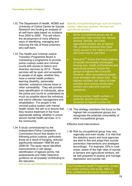- 1.32 The Department of Health, NOMS and University of Oxford Centre for Suicide Research are funding an analysis of all self-harm data based on incidents from 2004 to 2009. This will inform the development of more effective ways of identifying, managing and reducing the risk of those prisoners who self-harm.
- 1.33 The Health and Criminal Justice Transition Programme Board is overseeing a programme to provide police custody suites and criminal courts with access to liaison and diversion services by 2014. These services will be open and accessible to people of all ages, whether they have a mental health problem, learning disability, personality disorder, substance misuse issue or other vulnerability. They will provide early identification of individuals, allow the police and courts to understand as much as possible about the individual, and inform offender management and rehabilitation. For people in the criminal justice system with mental health needs, the aim is to ensure that they receive treatment in the most appropriate setting, whether in prison, secure mental health services, or in the community.
- 1.34 A study commissioned by the Independent Police Complaints Commission found that deaths in or following police custody, particularly those as a result of hanging, reduced significantly between 1998-99 and 2008-09. The study report identified improvements in cell design, identification of ligature points, risk assessments and Safer Detention guidance as all possibly contributing to the reduction.<br>www.ipcc.gov.uk/Pages/deathscustodystudy.aspx

Specific occupational groups, such as doctors, nurses, veterinary workers, farmers and agricultural workers

- Some occupational groups are at particularly high suicide risk. Nurses, doctors, farmers, and other agricultural workers are at highest risk, probably because they have ready access to the means of suicide and know how to use them.
- Research<sup>[18](#page-47-9)</sup> shows that these patterns of suicide are broadly unchanged. Among men, health professionals and agricultural workers remain the groups at highest risk of suicide. However, other occupational groups have emerged with raised risks. The highest numbers (not rates) of male suicides were among construction workers and plant and machine operatives.
- Among women, health workers, in particular doctors and nurses, remained at highest suicide risk.
- 1.35 This strategy maintains the focus on the highest risk occupational groups but recognises the potential vulnerability of other occupational groups.

#### *Effective local interventions*

1.36 Risk by occupational group may vary regionally and even locally. It is vital that the statutory sector and local agencies are alert to this and adapt their suicide prevention interventions and strategies accordingly. For example, GPs in rural areas, aware of the high rates of suicide in farmers and agricultural workers, will be well prepared to assess and manage depression and suicide risk.

The Practitioner Health Programme, funded by London primary care trusts, offers a free, confidential service for doctors and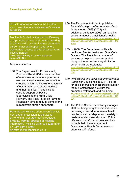dentists who live or work in the London area. www.php.nhs.uk/what-to-expect/how-can-iaccess-php

MedNet is funded by the London Deanery and provides doctors and dentists working in the area with practical advice about their career, emotional support and, where appropriate, access to brief or longer-term psychotherapy. www.londondeanery.ac.uk/var/support-for-

doctors/MedNet

#### *Helpful resources*

1.37 The Department for Environment, Food and Rural Affairs has a number of measures in place to support rural workers aimed at easing some of the stresses which are known to adversely affect farmers, agricultural workers and their families. These include specific support on bovine tuberculosis to the Farm Crisis Network. The Task Force on Farming Regulation aims to reduce some of the bureaucratic burden on farmers.

Rural Stress Helpline offers a confidential, non-judgemental listening service to anyone in a rural area feeling troubled, anxious, worried, stressed or needing information. Helpline 0845 094 8286 (Mon-Fri 9am-5pm); email help@ruralstresshelpline.co.uk

- 1.38 The Department of Health published *Maintaining high professional standards in the modern NHS* (2003) with additional guidance (2005) on handling concerns about a practitioner's health.<br>www.dh.gov.uk/en/Publicationsandstatistics/Publi [cations/PublicationsPolicyAndGuidance/DH\\_410](http://www.dh.gov.uk/en/Publicationsandstatistics/Publications/PublicationsPolicyAndGuidance/DH_4103586) [3586](http://www.dh.gov.uk/en/Publicationsandstatistics/Publications/PublicationsPolicyAndGuidance/DH_4103586)
- 1.39 In 2008, The Department of Health published *Mental health and Ill health in Doctors*. This identifies a number of sources of help and recognises that many of the issues are very similar for other health professionals. [www.dh.gov.uk/en/Publicationsandstatistics/Publi](http://www.dh.gov.uk/en/Publicationsandstatistics/Publications/PublicationsPolicyAndGuidance/DH_083066)

[cations/PublicationsPolicyAndGuidance/DH\\_083](http://www.dh.gov.uk/en/Publicationsandstatistics/Publications/PublicationsPolicyAndGuidance/DH_083066) [066](http://www.dh.gov.uk/en/Publicationsandstatistics/Publications/PublicationsPolicyAndGuidance/DH_083066)

- 1.40 *NHS Health and Wellbeing Improvement Framework*, published in 2011, is a tool for decision makers on Boards to support them in establishing a culture that promotes staff health and wellbeing. [www.dh.gov.uk/en/Publicationsandstatistics/Publi](http://www.dh.gov.uk/en/Publicationsandstatistics/Publications/PublicationsPolicyAndGuidance/DH_128691) [cations/PublicationsPolicyAndGuidance/DH\\_128](http://www.dh.gov.uk/en/Publicationsandstatistics/Publications/PublicationsPolicyAndGuidance/DH_128691) [691](http://www.dh.gov.uk/en/Publicationsandstatistics/Publications/PublicationsPolicyAndGuidance/DH_128691)
- 1.41 The Police Service proactively manages staff wellbeing to try to avoid individuals becoming unwell due to mental health problems such as depression, anxiety or post-traumatic stress disorder. Police officers and staff can access services through their line management, Occupational Health Departments or often via self-referral.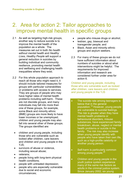# <span id="page-22-0"></span>2. Area for action 2: Tailor approaches to improve mental health in specific groups

- 2.1 As well as targeting high-risk groups, another way to reduce suicide is to improve the mental health of the population as a whole. The measures set out in both *No health without mental health* and *Healthy Lives, Healthy People* will support a general reduction in suicides by building individual and community resilience, promoting mental health and wellbeing and challenging health inequalities where they exist.
- 2.2 For this whole population approach to reach all those who might need it, it should include tailored measures for groups with particular vulnerabilities or problems with access to services. They are groups of people who may have higher rates of mental health problems including self-harm. These are not discrete groups, and many individuals may fall into more than one of these groups, for example, some Black and minority ethnic (BME) groups are more likely to have lower incomes or be unemployed; children and young people may also fall into several other of these groups. The groups identified are:
	- children and young people, including those who are vulnerable such as looked after children, care leavers and children and young people in the YJS;
	- survivors of abuse or violence, including sexual abuse;
	- veterans;
	- people living with long-term physical health conditions;
	- people with untreated depression;
	- people who are especially vulnerable due to social and economic circumstances;
- people who misuse drugs or alcohol:
- lesbian, gay, bisexual and transgender people; and
- Black, Asian and minority ethnic groups and asylum seekers.
- 2.3 For many of these groups we do not have sufficient information about numbers of suicides or about what interventions might be helpful. The requirements for improved information and research are considered further under area for action 6.

Children and young people, including those who are vulnerable such as looked after children, care leavers and children and young people in the YJS

- The suicide rate among teenagers is below that in the general population.[19](#page-48-1) However, young people are vulnerable to suicidal feelings. The risk is greater when they have mental health problems or behavioural disorders, misuse substances, have experienced family breakdown, abuse, neglect or mental health problems or suicide in the family. The risk may also increase when young people identify with people who have taken their own life, such as a high-profile celebrity or another young person.
- Self-harm is particularly common among young people. $20$
- Children and young people in the youth justice system experience many of the same risk factors as adults in the criminal justice system. Since January 2002, six young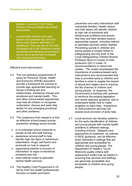people in custody in the Young Person's Secure Estate have killed themselves.

• Looked after children and care leavers are between four and five times more likely to self-harm in adulthood. They are also at five-fold increased risk of all childhood mental, emotional and behavioural problems and at six to seven-fold increased risk of conduct disorders.

#### *Effective local interventions*

- 2.4 The non-statutory programmes of study for Personal, Social, Health and Economic (PSHE) education provide a framework for schools to provide age–appropriate teaching on issues including sex and relationships, substance misuse and emotional and mental health. This and other school-based approaches may help all children to recognise, understand, discuss and seek help earlier for any emerging emotional and other problems.
- 2.5 The consensus from research is that an effective school-based suicide prevention strategy would include:
	- a co-ordinated school response to people at risk and staff training;
	- awareness among staff to help identify high risk signs or behaviours (depression, drugs, self-harm) and protocols on how to respond;
	- signposting parents to sources of information on signs of emotional problems and risk;
	- clear referral routes to specialist mental health services.
- 2.6 The Healthy Child Programme 0-19, led by front line health professionals, focuses on health promotion,

prevention and early intervention with vulnerable families. Health visitors and their teams will identify children at high risk of emotional and behavioural problems and ensure that they and their families receive appropriate support, including referral to specialist services where needed. Preventing suicide in children and young people is closely linked to safeguarding and the work of the Local Safeguarding Children Boards. Professor Munro's review of child protection (2011) made 15 recommendations to reform the system. The review emphasised the importance of evidence-based early interventions and recommended that help is provided early to children and families in order to negate the impact of abuse and neglect and to improve the life chances of children and young people. In response, the Government is working with partners to reinforce the existing legislation and revise statutory guidance, and to understand better how to make progress on early help. Inspections of child protection services will assess local provision of early help.

2.7 Local services can develop systems for the early identification of children and young people with mental health problems in different settings, including schools. Stepped-care approaches to treatment, as outlined in NICE guidance, can be effective when delivered in settings that are appropriate and accessible for children and young people. The Department of Health's *You're Welcome* quality criteria selfassessment toolkit may be helpful in ensuring that services and settings are genuinely acceptable and accessible to children and young people.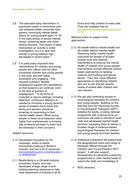- 2.8 The specialist early intervention in psychosis model of community care has achieved better outcomes than generic community mental health teams for young people aged 14–35 in the early phase of severe mental illness, achieving faster and more lasting recovery. The impact of early intervention on suicide is under investigation, but it is clear that suicide in young patients has decreased in recent years.<sup>[21](#page-48-3)</sup>
- 2.9 It is particularly important that interventions for children and young people who offend, and for other vulnerable children and young people in the area, are both easily accessible and engaging. This requires outreach, flexible wraparound support and persistence, so that sessions can continue, even in the face of barriers to engagement. $^{22}$  $^{22}$  $^{22}$  In all forms of custodial or secure settings, including detention, continuous attention is needed to minimise a young person's sense of isolation from home and family and workers should be proactive in responding to their mental health needs. What young people in these circumstances value highly from professionals is knowing that someone will listen to them and be interested in their concerns.

#### *Helpful resources*

- 2.10 Stonewall's Education for All campaign, works to tackle homophobic bullying in Britain's schools, and has a lot of resources. [www.stonewall.org.uk/at\\_school/education\\_f](http://www.stonewall.org.uk/at_school/education_for_all/default.asp) [or\\_all/default.asp](http://www.stonewall.org.uk/at_school/education_for_all/default.asp)
- 2.11 Beatbullying is a UK-wide bullying prevention charity, and has developed a large range of antibullying teaching resources to help raise awareness of bullying in all its

forms and help children to keep safe. They are available free at: [www.beatbullying.org/dox/resources/resourc](http://www.beatbullying.org/dox/resources/resources.html)

[es.html](http://www.beatbullying.org/dox/resources/resources.html)

- 2.12 *No health without mental health* and *No health without mental health: Delivering better mental health outcomes for people of all ages* include local and national interventions to improve the mental health of children and young people. Interventions include effective schoolbased approaches to tackling violence and bullying and sexual abuse.They also cover effective approaches to identifying children who are at risk and the specific needs of looked after children and care leavers.
- 2.13 We are also extending access to psychological therapies for children and young people. Building on the learning from the Improving Access to Psychological Therapies (IAPT) initiative for adults, a rolling national programme with a strong focus on outcomes will seek to transform local child and adolescent mental health services, equipping them to deliver a broader range of evidence-based psychological therapies for children and young people and their families.
- 2.14 Additional investment will extend both the geographical reach and range of therapies offered through the Children and Young People's IAPT project. It will also support development of interactive e-learning programmes in child mental health to extend the skills and knowledge of:
	- NHS clinicians;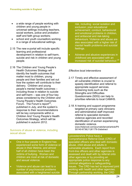- a wide range of people working with children and young people in universal settings including teachers, social workers, police and probation staff and faith group workers;
- school and youth counsellors working in a range of educational settings.
- 2.15 The new e-portal will include specific learning and professional development in relation to self-harm, suicide and risk in children and young people.
- 2.16 The Children and Young People's Health Outcomes Strategy will identify the health outcomes that matter most to children, young people and their families and set out how the system will contribute to their delivery. Children and young people's mental health outcomes – including those in relation to suicide and self-harm – was one of four key areas considered by the Children and Young People's Health Outcomes Forum. The Forum's report<sup>23</sup>, published in July, and the system's response to their recommendations will be key components within a Children And Young People's Health Outcomes Strategy, which will be published in autumn 2012.

#### Survivors of abuse or violence, including sexual abuse

- One in four people in England has experienced some form of violence or abuse in their lifetime, and almost half of all children have been the victims of bullying. Women and children are most at risk of domestic and sexual violence.
- Violence and abuse can lead to a number of psychosocial problems associated with a heightened suicide

risk, including: social isolation and exclusion; poor educational achievement; conduct, behavioural and emotional problems in children, and antisocial and risk-taking behaviours. Violence and abuse are also associated with a higher risk of mental health problems and suicidal feelings.

• Adverse and abusive experiences in childhood are associated with an increased risk of suicidal behaviour. [24](#page-48-6)

#### *Effective local interventions*

- 2.17 Timely and effective assessment of all vulnerable children is crucial to speedy identification and referral to appropriate support services. Screening tools such as the Strengths and Difficulties Questionnaire (SDQ) can help to prioritise referrals to local CAMHS.
- 2.18 A training and support programme targeted at primary care clinicians and administrative staff improved referral to specialist domestic violence agencies and recorded identification of women experiencing domestic violence. www.thelancet.com/journals/lancet/article/PII S0140-6736(11)61179-3/abstract

#### Leicestershire Police have a

Comprehensive Referral Desk (CRD) of specialist officers who deal with domestic abuse, child abuse and adults in vulnerable situations. Each report from front-line officers and other agencies is assessed and dealt with by referral onto other agencies or by providing an appropriate police response to any criminal allegations or safeguarding issues. The CRD has led to improved joint working with health and other agencies. Through partnership working, the CRD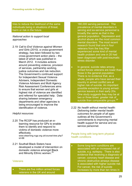tries to reduce the likelihood of the same individuals being in situations of threat. harm or risk in the future.

#### *National action to support local approaches*

2.19 *Call to End Violence against Women and Girls (2010),* a cross-government strategy, has been followed by two cross-government action plans – the latest of which was published in March 2012. It includes actions around preventing violence, provision of services, partnership working, justice outcomes and risk reduction. The Government's continued support for Independent Sexual Violence Advisers, Independent Domestic Violence Advisers and Multi Agency Risk Assessment Conferences aims to ensure that women and girls at highest risk of violence are identified and referred for specialist help. Data sharing between emergency departments and other agencies is being encouraged to improve the identification of violence.

#### *Helpful resources*

- 2.20 The RCGP has produced an elearning resource for GPs to enable them to identify and respond to victims of domestic violence more [effectively. www.elearning.rcgp.org.uk/course/view.php?](http://www.elearning.rcgp.org.uk/course/view.php?id=88) [id=88](http://www.elearning.rcgp.org.uk/course/view.php?id=88)
- 2.21 Southall Black Sisters have developed a model of intervention on domestic violence amongst Black and Minority Ethnic women.<sup>[25](#page-48-7)</sup>

#### Veterans

There are five million armed forces veterans in the UK and around

180,000 serving personnel. The prevalence of mental disorders in serving and ex-service personnel is broadly the same as that in the general population. Depression and alcohol abuse are the most common mental disorders. The most recent research found that one in four veterans from the Iraq War experienced some kind of mental health problem and one in 20 had been diagnosed with post-traumatic stress disorder.

- In general, suicide rates among armed forces veterans are lower than those in the general population. There is no evidence that, as a whole, people who have served their country in armed conflict are at higher risk of suicide. An important possible exception is young armedservice leavers in their early 20s. One study suggests they may be at two or three times' greater risk of suicide than comparable groups.<sup>[26](#page-48-8)</sup>
- 2.22 *No health without mental health: Delivering better mental health outcomes for people of all ages*  outlines all the Government's commitments to improving mental health support for service and exservice personnel.

#### People living with long-term physical health conditions

Some long-term conditions are associated with an increased risk of suicide, e.g. epilepsy. There is also evidence that receiving a diagnosis of cancer, coronary heart disease and chronic obstructive airways disease is associated with higher suicide risk. For cancer, the risk of suicide increases by more than ten times in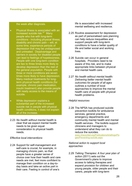#### the week after diagnosis.

- Physical illness is associated with an increased suicide risk.[27](#page-49-0) Many people who live with long-term conditions - including physical illness, disability and chronic pain – will, at some time, experience periods of depression that may be undiagnosed and untreated. Disadvantage and barriers in society for disabled people can lead to feelings of hopelessness. People with one long-term condition are two to three times more likely to develop depression than the rest of the general population. People with three or more conditions are seven times more likely to have depression. Many medical treatments for longterm physical health conditions (for example, chronic pain medication, insulin treatment) also provide people with ready access to the means of suicide.
- While depression explains a substantial part of the increased suicide risk in people with physical health conditions, it does not explain all of the increase.
- 2.23 *No health without mental health* is clear that we expect mental health needs to be given equal consideration to physical health needs.

#### *Effective local interventions*

2.24 Support for self-management and self-care is crucial, for example, in managing chronic pain, so that people have a greater sense of choice over how their health and care needs are met, feel more confident to manage their condition on a day-today basis and take an active part in their care. Feeling in control of one's

life is associated with increased mental wellbeing and resilience.

- 2.25 Routine assessment for depression as part of personalised care planning can help reduce inequalities and support people with long-term conditions to have a better quality of life and better social and working lives.
- 2.26 Suicide can occur in general hospitals. Providers need to be aware of this risk, and to make appropriate links between physical and mental health care.
- 2.27 *No health without mental health: Delivering better mental health outcomes for people of all ages* outlines a number of local approaches to improve the mental health care of people with physical health problems.

#### *Helpful resources*

2.28 The NPSA has produced suicide prevention toolkits for ambulance services, general practice, emergency departments and community mental health and mental health services. The toolkits support clinicians and managers to understand what they can do to reduce the suicides. [www.nhsconfed.org/Publications/briefings/Pa](http://www.nhsconfed.org/Publications/briefings/Pages/Preventing-suicide.aspx) [ges/Preventing-suicide.aspx](http://www.nhsconfed.org/Publications/briefings/Pages/Preventing-suicide.aspx)

#### *National action to support local approaches*

2.29 *Talking Therapies: A four year plan of action (*2011) sets out the Government's plans to improve access to talking therapies and expand provision for children and young people, older people and their carers, people with long-term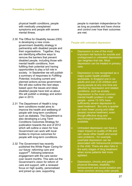physical health conditions, people with medically unexplained symptoms and people with severe mental illness.

- 2.30 The Office for Disability Issues (ODI) is developing a new crossgovernment disability strategy in partnership with disabled people and their organisations. Together, they are identifying effective ways to remove the barriers that prevent disabled people, including those with mental health conditions, from fulfilling their potential and having opportunities to play a full role in society. In September we will publish a summary of responses to *Fulfilling Potential*, including current and planned actions across government. We will also outline the next steps based upon the issues and ideas disabled people have told us about. We will publish a strategy and action plan in 2013.
- 2.31 The Department of Health's longterm conditions model aims to improve the health and wellbeing of people with long-term conditions such as diabetes. The Department is also developing a Long Term Conditions Outcomes Strategy for publication towards the end of 2012 which will outline a vision for how Government can work with local bodies to improve outcomes for people with long-term conditions.
- 2.32 The Government has recently published the White Paper *Caring for our future: reforming care and support[28](#page-49-1)*, following extensive engagement with the care sector over recent months. This sets out the Government's vision for reform of care and support, with a renewed focus on high quality, personalised and joined up care, supporting

people to maintain independence for as long as possible and have choice and control over how their outcomes are met.

#### People with untreated depression

- Depression is one of the most important risk factors for suicide and undiagnosed or untreated depression can heighten that risk. Most depression can be treated in primary care.
- Depression is now recognised as a major public health problem worldwide. In England one in six adults and one in 20 children and young people at any one time are affected by depression and related conditions, such as anxiety. Depression is the most common mental health problem in older people - some 13-16% have sufficiently severe depression to need treatment. But only a quarter (or even fewer young and older people) receive treatment, even though effective drug and psychological treatments are available.
- Untreated depression can have a major impact on quality of life and can cause other health and social care problems - for example, postnatal depression can be associated with behavioural problems in the child. There are also risks in the early stages of drug treatment when some patients feel more agitated.
- Depression, chronic and painful physical illnesses, disability, bereavement and social isolation are more common among older people.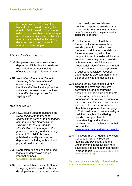Men aged 75 and over have the highest rate of suicide among older people. While suicide rates among older people have been decreasing in recent years, an increase in absolute numbers is expected in the coming decades, due to the increase in number of older people.

#### *Effective local interventions*

- 2.33 People recover more quickly from depression if it is identified early and responded to promptly, using effective and appropriate treatments.
- 2.34 *No health without mental health: Delivering better mental health outcomes for people of all ages* identifies effective local approaches to treating depression and outlines some effective approaches for 'ageing well'.

#### *Helpful resources*

- 2.35 NICE issued updated guidance on *Depression: Management of depression in primary and secondary care* in 2009 and *Depression in Children and Young People: Identification and management in primary, community and secondary care* in 2005. NICE has also published a quality standard on depression, including with a chronic physical health problem.
- 2.36 Depression Alliance has produced leaflets on depression and an information pack. [www.depressionalliance.org](http://www.depressionalliance.org/)
- 2.37 The Staffordshire University Centre for Ageing and Mental Health has developed a set of information sheets

to help health and social care providers respond to suicide risk in older clients: www.wmrdc.org.uk/mentalhealth/primary-care/suicide-prevention-inelders-project-summary

- 2.38 The Department of Health has funded multi-centre research on suicide prevention $^{29}$  $^{29}$  $^{29}$  which has produced useful recommendations for services working with older people. It found that older adults who self-harm are at high risk of suicide, with men aged over 75 years at greatest risk. Use of a violent method in the first attempt is also a predictor of subsequent suicide. Alcohol dependency is also common among older adults who attempt suicide.
- 2.39 *Caring for our future* sets out how supporting active and inclusive communities, and encouraging people to use their skills and talents to build new friendships and connections, are central elements to the Government's new vision for care and support. The Department of Health has supported the Campaign to End Loneliness to produce a digital toolkit for health and wellbeing boards to support them in understanding, and addressing loneliness and social isolation in their communities:

www.campaigntoendloneliness.org.uk/toolkit

2.40 The Department of Health, the Royal Colleges of General Practice, Nursing and Psychiatry and the British Psychological Society have developed a fact sheet on depression in older people: [www.rcgp.org.uk/mental](http://www.rcgp.org.uk/mental%20health/resources.aspx)  [health/resources.aspx](http://www.rcgp.org.uk/mental%20health/resources.aspx)

People who are especially vulnerable due to social and economic circumstances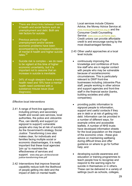- There are direct links between mental ill health and social factors such as unemployment and debt. Both are risk factors for suicide.
- Previous periods of high unemployment and/or severe economic problems have been accompanied by increased incidence of mental ill health and higher suicide rates. $30$
- Suicide risk is complex we do need to be vigilant at this time of higher economic uncertainty, but it is important not to assume that an increase in suicide is inevitable.
- 34% of rough sleepers have a mental health need and 18% have a mental health need combined with a substance misuse issue (dual diagnosis).

#### *Effective local interventions*

- 2.41 A range of front-line agencies, including primary and secondary health and social care services, local authorities, the police and Jobcentre Plus, can identify and support (or signpost to support) vulnerable people who may be at risk of suicide. As the Government's strategy *Social Justice: Transforming Lives* also makes clear, for individuals and families facing multiple social or economic disadvantages, it is really important that these local agencies 'join up' to maximise the effectiveness of services and support. www.dwp.gov.uk/docs/socialjustice-transforming-lives.pdf
- 2.42 Interventions that improve financial capability reduce both the likelihood of people getting into debt and the impact of debt on mental health.

Local services include Citizens Advice, the Money Advice Service at: [www.moneyadviceservice.org.uk](http://www.moneyadviceservice.org.uk/) and the Consumer Credit Counselling Service: [www.cccs.co.uk/Home.aspx.](http://www.cccs.co.uk/Home.aspx) Credit unions can provide affordable credit to and encourage saving by the most disadvantaged families.

- 2.43 Other useful approaches at a local level include:
	- continuously improving the knowledge and confidence of frontline staff who are in regular contact with people who may be vulnerable because of social/economic circumstances. This is particularly relevant to DWP front-line businesses including Jobcentre Plus staff, people working in other advice and support agencies and front-line staff in the financial sector (banks, building societies and utility companies);
	- providing public information to signpost people to information, support and useful contacts if they are in debt or at risk of getting into debt. Information can be provided in a number of different ways, for example online and accessible leaflets. A number of NHS trusts have developed information sheets for the local population on the impact of the economic crisis - these give advice on maintaining wellbeing during difficult times and offer guidance on where to go for further help; and
	- developing suicide awareness and education or training programmes to teach people how to recognise and respond to the warning signs for suicide in themselves or in others. These can be delivered in a variety of settings (such as schools, colleges,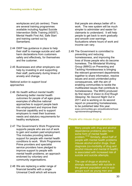workplaces and job centres). There are several training programmes available including Applied Suicide Intervention Skills Training (ASIST), Mental Health First Aid, Safe Start and training carried out by Samaritans.

- 2.44 DWP has guidance in place to help their staff to manage suicide and selfharm declarations from customers safely and effectively, for themselves and the customer.
- 2.45 Businesses and other employers can help by investing in and supporting their staff, particularly during times of anxiety and change.

#### *National action to support local approaches*

- 2.46 *No health without mental health: Delivering better mental health outcomes for people of all ages* gives examples of effective national approaches to support people back into employment and improve their financial capability and to support employers to meet their business needs and statutory requirements for healthy workplaces.
- 2.47 The Government's Work Programme supports people who are out of work to gain and sustain paid employment. This includes providing tailored support for people with mental health conditions to work. Work Programme Prime providers and specialist service providers have pledged to improve support to people with mental health problems; an approach endorsed by voluntary and community organisations.
- 2.48 We are replacing a wider range of financial benefits with a single Universal Credit which will ensure

that people are always better off in work. The new system will be much simpler to administer and easier for claimants to understand. It will help people to get back to work gradually and smooth over earnings fluctuations where hours of work and income can vary.

2.49 The Government is committed to preventing and reducing homelessness, and improving the lives of those people who do become homeless. The Ministerial Working Group (MWG) on Preventing and Tackling Homelessness is bringing the relevant government departments together to share information, resolve issues and avoid unintended policy consequences, with the aim of enabling communities to tackle the multifaceted issues that contribute to homelessness. The MWG produced its first report *A Vision to End Rough Sleeping: No Second Night Out* in 2011 and is working on its second report on preventing homelessness, to be published later this year. www.communities.gov.uk/publications/housi ng/visionendroughsleeping

#### People who misuse drugs or alcohol

- Many people with drug and alcohol dependence problems also have some form of mental health problem.[31](#page-49-4)[32](#page-49-5) Similarly, about half of people with mental health problems misuse alcohol and/or drugs. Dual diagnosis (co-morbidity of drug and alcohol misuse and mental ill health) is associated with increased risk of suicide and suicide attempts.
- The use of drugs or alcohol is strongly associated with suicide in the general population and in subgroups such as young men and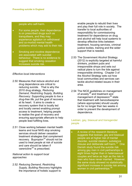#### people who self-harm.

- For some people, their dependence is on prescribed drugs such as tranquilisers, and they may experience agitation on withdrawal and co-morbid mental health problems which may add to their risk.
- Smoking and nicotine dependence are associated with suicidal behaviour. There is no evidence to suggest that smoking cessation increases suicide risk.

#### *Effective local interventions*

- 2.50 Measures that reduce alcohol and drug dependence are critical to reducing suicide. That is why the 2010 drug strategy, *Reducing Demand, Restricting Supply, Building Recovery: Supporting people to live a drug-free life*, put the goal of recovery at its heart. It aims to create a recovery system that is locally led and locally owned enabling prompt access to treatment, helping people to realise the goal of recovery and ensuring appropriate aftercare to help people lead fulfilling lives.
- 2.51 Close working between mental health teams and local NHS stop smoking services should deliver cessation treatment strategies that complement recovery. Bupropion<sup>[33](#page-49-6)</sup> should not be used to treat people at risk of suicide and care should be taken if varenicline $34$  is prescribed.

#### *National action to support local approaches*

2.52 *Reducing Demand, Restricting Supply, Building Recovery* highlights the importance of holistic support to

enable people to rebuild their lives and play their full role in society. The transfer to local authorities of responsibility for commissioning treatment for dependence on drug and alcohol will help local systems to develop effective links between treatment, housing services, criminal justice bodies, training and the wider support that is needed.

- 2.53 The Government Alcohol Strategy (2012) is explicitly targeted at harmful drinkers, problem pubs and irresponsible shops and sets out radical plans to turn the tide against irresponsible drinking. Chapter 3 of the Alcohol Strategy sets out how local communities and services can tackle alcohol-related issues in their area.
- 2.54 The NICE guidelines on management of anxiety<sup>[35](#page-49-8)</sup> and treatment and management of depression<sup>[36](#page-49-9)</sup> state that treatment with benzodiazepine (where appropriate) should usually be for no longer than two weeks in order to prevent the development of dependence.

#### Lesbian, gay, bisexual and transgender people

• A review of the research literature suggests that lesbian, gay and bisexual people are at higher risk of mental disorder, suicidal ideation, substance misuse and deliberate self-harm.<sup>[37](#page-49-10)</sup> One Danish study found the suicide risk among gay men in civil partnerships is eight times higher than in heterosexual couples and twice as high as the risk in men who have never married. However, the same study showed no statistically significant increase in suicide risk among women in civil partnerships.<sup>[38](#page-49-11)</sup>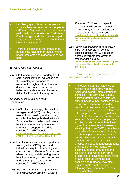- Lesbian, gay and bisexual people are twice as likely as heterosexual people to self-harm. Gay and bisexual men have a particularly high prevalence of self-harm. One in ten gay and bisexual men aged 16 to 19 have attempted to take their own life in the last year.<sup>[39](#page-50-0)</sup>
- There are indications that transgender people may have higher rates of mental health problems and higher rates of selfharm.

#### *Effective local interventions*

2.55 Staff in primary and secondary health care, social services, education and the voluntary sector need to be aware of the higher rates of mental distress, substance misuse, suicidal behaviour or ideation and increased risks of self-harm in these groups.

#### *National action to support local approaches*

- 2.56 PACE, the lesbian, gay, bisexual and transgender (LGBT) voluntary sector research, counselling and advocacy organisation, has published *Where to Turn*, a review of web-based mental health promotion and preventive information, support and advice services for LGBT people. [www.pacehealth.org.uk/Where%20To%20Tu](http://www.pacehealth.org.uk/Where%20To%20Turn%20-20Final%20Full%20Report.pdf) [rn%20-%20Final%20Full%20Report.pdf](http://www.pacehealth.org.uk/Where%20To%20Turn%20-20Final%20Full%20Report.pdf)
- 2.57 Local services and external partners working with LGBT groups and individuals may find the findings and conclusions in *Where to Turn* helpful when planning and delivering mental health promotion, substance misuse and other support and advice services for LGBT people.
- 2.58 *Working for Lesbian, Gay, Bisexual and Transgender Equality: Moving*

*Forward* (2011) sets out specific actions that will be taken across government, including actions on health and social care issues. [www.homeoffice.gov.uk/publications/equaliti](http://www.homeoffice.gov.uk/publications/equalities/lgbt-equality-publications/lgbt-action-plan?view=Binary) [es/lgbt-equality-publications/lgbt-action](http://www.homeoffice.gov.uk/publications/equalities/lgbt-equality-publications/lgbt-action-plan?view=Binary)[plan?view=Binary](http://www.homeoffice.gov.uk/publications/equalities/lgbt-equality-publications/lgbt-action-plan?view=Binary)

2.59 *Advancing transgender equality: A plan for action* (2011) sets out specific actions that will be taken across government to advance transgender equality. [www.homeoffice.gov.uk/publications/equaliti](http://www.homeoffice.gov.uk/publications/equalities/lgbt-equality-publications/transgender-action-plan) [es/lgbt-equality-publications/transgender](http://www.homeoffice.gov.uk/publications/equalities/lgbt-equality-publications/transgender-action-plan)[action-plan](http://www.homeoffice.gov.uk/publications/equalities/lgbt-equality-publications/transgender-action-plan)

#### Black, Asian and minority ethnic groups and asylum seekers

The evidence on the incidence of mental health problems in Black, Asian and minority ethnic groups is complex. This term covers many different groups with very different cultural backgrounds, socioeconomic status and experiences in wider society. People from Black, Asian and minority ethnic groups often have different presentations of problems and different relationships with health services. Some Black groups have admission rates around three times higher than average, with research showing that some BME groups have high rates of severe mental illness, which may put them at high risk of suicide. The rates of mental health problems in particular migrant groups, and subsequent generations, are also sometimes higher. For example, migrant groups and their children are at two to eight times greater risk of psychosis. More recent arrivals, such as some asylum seekers and refugees, may also require mental health support following their experiences in their home countries.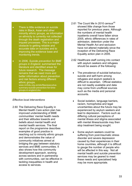- There is little evidence on suicide risks in Black, Asian and other minority ethnic groups, as information on ethnicity is currently not collected through the death registration and inquest processes. This is a major obstacle to getting reliable and accurate data on suicides and to improving the evidence base and monitoring trends.
- In 2006, *Suicide prevention for BME groups in England*, summarised the literature and identified areas for future research. The message remains that we need more and better information about prevention and risk factors among different ethnic groups. www.nmhdu.org.uk/silo/files/executivesummary-suicide-prevention-for-bmegroups-in-england.doc

#### *Effective local interventions*

2.60 The Delivering Race Equality in Mental Health Care action plan has improved understanding of BME communities' mental health needs and their attitudes towards and beliefs about mental health and mental health services. The final report on the programme describes examples of good practice in reaching out to minority ethnic groups and demonstrates the value of community initiatives aimed at bridging the gap between statutory services and BME communities. It also shows how this community development approach, working across sectors and in partnership with communities, can be effective in tackling inequalities in health and access to services.

- 2.61 The Count Me In 2010 census<sup>[40](#page-50-1)</sup> showed little change from those reported for previous years. Although the numbers of mental health inpatients overall have fallen since 2005, ethnic differences in rates of admission, detention under the Mental Health Act and seclusion have not altered materially since the inception of the Delivering Race Equality action plan in 2005.
- 2.62 Healthcare staff coming into contact with asylum seekers and refugees should be aware of the following:
	- The prevalence of suicidal behaviour, suicide and self-harm among refugees and asylum seekers is difficult to ascertain. Official statistics are not readily available and data may come from unofficial sources such as the media and personal accounts.
	- Social isolation, language barriers, racism, homophobia and legal uncertainties about the future may be experienced by asylum seekers and lead to depression. Factors such as differing cultural perceptions of mental illness and stigma associated with mental illness/suicide may then stop treatment being sought.
	- Some asylum seekers could be suffering from post-traumatic stress disorder and severe depression caused by their experiences in their home countries, although it is difficult to gauge the number of people who will be affected in this way. Not all mental health and suicide prevention services may be geared to meet these needs and specialised help may be more appropriate.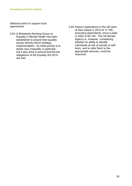- 2.63 A Ministerial Working Group on Equality in Mental Health has been established to ensure that equality issues directly inform strategy implementation. Its initial priority is to tackle race inequality in particular, but it also aims to ensure that the full obligations of the Equality Act 2010 are met.
- 2.64 Asylum applications in the UK were at their lowest in 2010 at 17,790, excluding dependents, since a peak in 2002 of 84,130. The UK Border Agency is, however, considering whether its ability to identify individuals at risk of suicide or selfharm, and to refer them to the appropriate services, could be improved.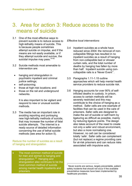# <span id="page-36-0"></span>3. Area for action 3: Reduce access to the means of suicide

- 3.1 One of the most effective ways to prevent suicide is to reduce access to high-lethality means of suicide. This is because people sometimes attempt suicide on impulse, and if the means are not easily available, or if they attempt suicide and survive, the suicidal impulse may pass.<sup>[41](#page-50-2)[42](#page-50-3)</sup>
- 3.2 Suicide methods most amenable to intervention are:
	- hanging and strangulation in psychiatric inpatient and criminal justice settings;
	- self-poisoning;
	- those at high-risk locations; and
	- those on the rail and underground networks.

It is also important to be vigilant and respond to new or unusual suicide methods.

3.3 The media has an important role in avoiding reporting and portraying new high-lethality methods of suicide, that may increase the number of fatal suicide attempts. The internet is a ready source of detailed information concerning the use of lethal suicide methods (see area for action 5).

#### Reduce the number of suicides as a result of hanging and strangulation

The most common method of suicide for men and women is hanging and strangulation.<sup>[43](#page-50-4)</sup> Hanging and strangulation also continues to be the most common method of suicide among mental health inpatients and prisoners.

#### *Effective local interventions*

- 3.4 Inpatient suicides as a whole have reduced since 2004: the removal of noncollapsible fittings has resulted in no inpatient suicides as a result of hanging from non-collapsible bed or shower curtain rails, and the total number of deaths by hanging has fallen by more than half. Inpatient suicide using noncollapsible rails is a 'Never Event' [\\*](#page-19-0) .
- 3.5 Paragraphs 1.11-1.15 outline approaches which will help mental health service providers to reduce suicide risk.
- 3.6 Hanging accounts for over 90% of selfinflicted deaths in custody. In prison, access to certain methods will be severely restricted and this may contribute to the choice of hanging as a method. Safer cells are one example of facilities that can be used in the care of prisoners. Safer cells are designed to make the act of suicide or self-harm by ligaturing as difficult as possible, mainly by reducing ligature points. The design also takes account of the need to create not only a safer and robust environment, but also a more normalising one. However, no cell can be considered totally 'safe'. Safer cells can complement (but not replace) a regime providing care for at-risk prisoners and can reduce risks associated with impulsive acts.

-

Never events are serious, largely preventable, patient safety incidents that should not occur if the available preventative measures have been implemented by healthcare providers.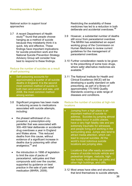#### *National action to support local approaches*

3.7 A recent Department of Health study $44$  found that people choose hanging as a method of suicide because they mistakenly think it is quick, tidy and effective. These findings have important implications for suicide prevention work and the National Suicide Prevention Strategy Advisory Group will consider how best to respond to these findings.

#### Reduce the number of suicides as a result of self-poisoning

- Self-poisoning accounts for approximately a quarter of all suicide deaths in England. It is the second most common method of suicide in both men and women and was, until 2008, the most common method among women.
- 3.8 Significant progress has been made in reducing access to medications associated with suicide attempts, including:
	- the phased withdrawal of coproxamol, a prescription-only painkiller that was associated with 300–400 fatal deliberate or accidental drug overdoses a year in England and Wales alone. This reduced deaths from this cause, without evidence of a significant increase in deaths due to poisoning with other analgesics;<sup>[45](#page-50-6)</sup> and
	- the introduction in 1998 of legislation to limit the size of packs of paracetamol, salicyates and their compounds sold over the counter, supported by guidance on best practice in the sale of pain relief medication (MHRA, 2009).

Restricting the availability of these medicines has led to a reduction in both deliberate and accidental overdoses.<sup>[46](#page-50-7)</sup>

- 3.9 However, a substantial number of deaths still occur from paracetamol overdose. The MHRA has established an expert working group of the Commission on Human Medicines to review current guidelines for the management of paracetamol overdose.
- 3.10 Further consideration needs to be given to the prescribing of some toxic drugs, where safer alternative medicines are available.<sup>[47](#page-50-8)</sup>
- 3.11 The National Institute for Health and Clinical Excellence (NICE) will be developing a quality standard on safe prescribing, as part of a library of approximately 170 NHS Quality Standards covering a wide range of diseases and conditions.

#### Reduce the number of suicides at high-risk locations

- Jumping from a high place is an important method of suicide to address. Suicides by jumping almost inevitably occur in public places, have a very high fatality rate and are extremely traumatic for witnesses and people living and working in the surrounding area. Jumps also tend to attract media attention, which can lead to copycat suicides. All the world's most notorious suicide locations are jumping sites.
- Locations that offer easily accessible means of suicide include vehicle and pedestrian bridges, viaducts, highrise hotels, multi-storey car parks and other high buildings, and cliffs.
- 3.12 Most areas have sites and structures that lend themselves to suicide attempts.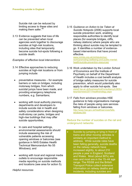Suicide risk can be reduced by limiting access to these sites and making them safer.<sup>[48](#page-51-1)</sup>

3.13 Evidence suggests that loss of life can be prevented when local agencies work together to discourage suicides at high-risk locations, including sites that temporarily become suicide hot-spots following a suicide death.

#### *Examples of effective local interventions*

- 3.14 Effective approaches to reducing suicides at high-risk locations or from jumping include:
	- preventative measures for example barriers or nets on bridges, including motorway bridges, from which suicidal jumps have been made, and providing emergency telephone numbers, e.g. Samaritans;
	- working with local authority planning departments and developers to include suicide risk in health and safety considerations when designing multi-storey car parks, bridges and high-rise buildings that may offer suicide opportunities;
	- In care and hospital settings. environmental assessments should include assessing the risk of vulnerable patients accessing opening windows or balconies (see guidance in NHS Estates Health Technical Memorandum No 55 *Windows*); and
	- working with local and regional media outlets to encourage responsible media reporting on suicide methods and locations (see area for action 5).

```
Helpful resources
```
3.15 *Guidance on Action to be Taken at Suicide Hotspots* (2006) supports local suicide prevention work, enabling responsible authorities to identify local places (for example bridges, cliffs, railway stations) where people who are thinking about suicide may be tempted to go. It identifies a number of evidencebased interventions that have proved effective.

> [www.nmhdu.org.uk/nmhdu/en/our](http://www.nmhdu.org.uk/nmhdu/en/our-work/promoting-wellbeing-and-public-mental-health/suicide-prevention-resources/)[work/promoting-wellbeing-and-public-mental](http://www.nmhdu.org.uk/nmhdu/en/our-work/promoting-wellbeing-and-public-mental-health/suicide-prevention-resources/)[health/suicide-prevention-resources/](http://www.nmhdu.org.uk/nmhdu/en/our-work/promoting-wellbeing-and-public-mental-health/suicide-prevention-resources/)

- 3.16 Work undertaken by the London School of Economics and the Institute of Psychiatry on behalf of the Department of Health includes a cost benefit analysis of bridge safety measures for suicide prevention, which would potentially also apply to other suicide hot-spots. See www2.lse.ac.uk/businessAndConsultancy/LSEEn terprise/news/2011/healthstrategy.aspx
- 3.17 *Falls from windows* provides HSE guidance to help organisations manage the risks of people using care services falling from windows or balconies. [http://www.hse.gov.uk/healthservices/falls](http://www.hse.gov.uk/healthservices/falls-windows.htm)[windows.htm](http://www.hse.gov.uk/healthservices/falls-windows.htm)

#### Reduce the number of suicides on the rail and underground networks

• Suicide by jumping or lying in front of trains and other moving vehicles is similarly an important method to address. While suicide rates have been falling generally, suicide deaths on the railway network have increased slightly, to about 210 people a year in England, Scotland and Wales. Most (about 80%) are men and most are in the 15–44 age range. The RSSB and the British Transport Police collect extensive information on railway deaths and incidents, including suicides and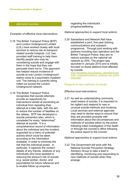#### attempted suicides.

#### *Examples of effective local interventions*

- 3.18 The British Transport Police (BTP) and London Underground Limited (LUL) have worked closely with local services to reduce risk at transportrelated suicide hotspots. LUL has provided staff training to help them identify people who may be considering suicide and engage with them in the hope that they can persuade them not to. This approach has helped reduce incidence of suicide at one London Underground station close to a psychiatric inpatient unit. The training is currently being rolled out across the London Underground network.
- 3.19 The British Transport Police recognises that suicide attempts provide an opportunity for interventions aimed at preventing an individual from repeating their attempt at a later date, with the aim to reduce the number of fatalities on the railway. BTP has developed a suicide prevention plan, which is completed for every "determined" attempt at suicide. It is a comprehensive record of information about the individual and the incident, supported by a menu of potential actions which could be taken according to the information available, in order to minimise the risk that the individual poses. In particular, it captures the contact details of any friends, relatives or any individuals who have assisted in reducing the person's risk of suicide (e.g. social worker, doctor, and psychiatrist) for future reference and to enable follow up enquiries

regarding the individual's progress/wellbeing.

*National approaches to support local actions*

3.20 Samaritans and Network Rail have established a joint, five-year training, communications and outreach programme. Through joint working with partners including train operators and the British Transport Police, they aim to reduce suicides on the national rail network by 20%. The project was launched in January 2010 and is initially focused on those stations most affected by suicide.

[www.samaritans.org.uk/support\\_samaritans/corp](http://www.samaritans.org.uk/support_samaritans/corporate_suppporters/network_rail/about_the_partnership.aspx) [orate\\_suppporters/network\\_rail/about\\_the\\_partne](http://www.samaritans.org.uk/support_samaritans/corporate_suppporters/network_rail/about_the_partnership.aspx) [rship.aspx](http://www.samaritans.org.uk/support_samaritans/corporate_suppporters/network_rail/about_the_partnership.aspx)

#### Respond to new methods of suicide

#### *Effective local interventions*

3.21 As well as understanding commonly used means of suicide, it is important to be vigilant and respond to new or unusual suicide methods and locations. Local services and external agencies may need to devise ways to ensure that they are provided promptly with information about the circumstances and methods of suicides either by the police following initial investigation of the death or through the coroner's office following the police report to the coroner.

#### *National approaches to support local actions*

3.22 The Government will work with the National Suicide Prevention Strategy Advisory Group to take a lead in identifying, monitoring and responding to new methods of suicide when they emerge.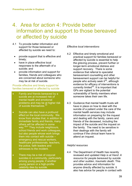# <span id="page-40-0"></span>4. Area for action 4: Provide better information and support to those bereaved or affected by suicide

- 4.1 To provide better information and support for those bereaved or affected by suicide we need to:
	- provide support that is effective and timely;
	- have in place effective local responses to the aftermath of a suicide; and
	- provide information and support for families, friends and colleagues who are concerned about someone who may be at risk of suicide.

Provide effective and timely support for families bereaved or affected by suicide

- Family and friends bereaved by a suicide are at increased risk of mental health and emotional problems and may be at higher risk of suicide themselves.<sup>[49](#page-51-2)</sup>
- Suicide can also have a profound effect on the local community. We know from studies that, in addition to immediate family and friends, many others will be affected in some way.<sup>[50](#page-51-3)[51](#page-51-4)</sup> They include neighbours, school friends and work colleagues, but also people whose work brings them into contact with suicide – emergency and rescue workers, healthcare professionals, teachers, the police, faith leaders and witnesses to the incident.
- There may be a risk of copycat suicides in a community, particularly among young people, if another young person or a high-profile celebrity dies by suicide.

#### *Effective local interventions*

- 4.2 Effective and timely emotional and practical support for families bereaved or affected by suicide is essential to help the grieving process, prevent further or longer-term emotional distress and support recovery. There is some evidence that referral to specialist bereavement counselling and other bereavement support can be helpful for people who actively seek it<sup>52</sup>, although evidence for efficacy of interventions is currently limited<sup>[53](#page-51-6)</sup>. It is important that GPs are vigilant to the potential vulnerability of family members when someone takes their own life.
- 4.3 Guidance that mental health trusts will have in place on how to deal with the suicide of a patient under the care of the mental health services may include information on preparing for the inquest and dealing with the family, carers and friends of the deceased, including the impact of the suicide and the inquest on the family. The need to be sensitive in their dealings with the family will continue if the clinical team have to attend an inquest.

#### *Helpful resources*

4.4 The Department of Health has recently reviewed and updated *Help is at Hand: A resource for people bereaved by suicide and other sudden, traumatic death*. This provides advice and information for anyone directly affected by suicide. It also has advice for people in contact with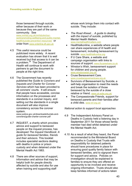those bereaved through suicide, either because of their work or because they are part of the same community. See

[www.nmhdu.org.uk/nmhdu/en/our](http://www.nmhdu.org.uk/nmhdu/en/our-work/promoting-wellbeing-and-public-mental-health/suicide-prevention-resources/)[work/promoting-wellbeing-and-public-mental](http://www.nmhdu.org.uk/nmhdu/en/our-work/promoting-wellbeing-and-public-mental-health/suicide-prevention-resources/)[health/suicide-prevention-resources/](http://www.nmhdu.org.uk/nmhdu/en/our-work/promoting-wellbeing-and-public-mental-health/suicide-prevention-resources/) or order from [www.orderline.dh.gov.uk](http://www.orderline.dh.gov.uk/)

- 4.5 This useful resource could be publicised more widely. A recent evaluation has shown that it is well received but that access to it can be a problem.<sup>54</sup> The Department of Health will continue to work with partners to get the document to people at the right time.
- 4.6 The Government has recently published the *Guide to Coroners and Inquests and Charter for Coroner Services* which has been provided to all coroners' courts. It will ensure that people have accessible, concise information on the processes and standards in a coroner inquiry, and setting out the standards in a single document will also improve consistency across the coroner system.

www.justice.gov.uk/downloads/burials-andcoroners/guide-charter-coroner.pdf

- 4.7 INQUEST, a charity which provides advice and support to bereaved people on the inquest process, has developed *The Inquest Handbook: A guide for bereaved families, friends and their advisors*. This booklet includes specialist sections dealing with deaths in police or prison custody and when detained under the Mental Health Act 1983.
- 4.8 There are other sources of support, information and advice that may be helpful both for people directly affected by suicide and also for use when training and supporting staff

whose work brings them into contact with suicide. They include:

- *The Road Ahead… A guide to dealing with the impact of suicide*, published by [Mental Health Matters. www.mentalhealthmatters.com](http://www.mentalhealthmatters.com/)
- Healthtalkonline, a website where people can share experiences of ill health and bereavement, including bereavement by suicide. [www.healthtalkonline.org](http://www.healthtalkonline.org/)
- If U Care Share, a website and campaign organisation with links to sources of support. www[.ifucareshare.co.uk](http://ifucareshare.co.uk/)
- Winston's Wish, bereavement support [for children and young](http://www.winstonswish.org.uk/) people.<br>[www.winstonswish.org.uk/](http://www.winstonswish.org.uk/)
- Cruse Bereavement Care. [www.crusebereavementcare.org.uk](http://www.crusebereavementcare.org.uk/)
- Survivors of Bereavement by Suicide, a self-help organisation to meet the needs and break the isolation of those bereaved by the suicide of a close relative or friend. [www.uk-sobs.org.uk/](http://www.uk-sobs.org.uk/)
- The Compassionate Friends, support for bereaved parents and their families after a child dies. [www.tcf.org.uk/](http://www.tcf.org.uk/)

- 4.9 The Independent Advisory Panel on Deaths in Custody held a listening day in September 2011 for those whose family member had died whilst detained under the Mental Health Act.
- 4.10 As a result of what they heard, the Panel recommended to the Ministerial Board on Deaths in Custody that Trusts with responsibility for detained patients should have procedures in place for ensuring good quality family liaison with bereaved families, and to signpost them for support and advice. Policies on investigation should be explained to families to ensure they are offered an opportunity to be involved and receive ongoing information. Trusts should also keep families informed of actions taken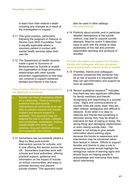to learn from their relative's death including any changes as a result of the investigation or inquest.

- 4.11 This good practice, particularly following the judgment in *Rabone vs Penine Care NHS Foundation Trust*, is equally applicable where a voluntary patient in contact with mental health services takes their own life.
- 4.12 The Department of Health recently made a grant to Survivors of Bereavement by Suicide to enable the organisation to forge productive relationships with other suicide prevention organisations so that they can continue to support bereaved families and friends in the future.

#### Have in place effective local responses to the aftermath of a suicide

- Suicide can have devastating effects on a community. There is emerging evidence that post-suicide interventions at community level can help to prevent copycat and suicide clusters and ensure support is available. This approach may be adapted for use in schools, colleges and universities, workplaces, prisons, mental health and other care services, drug and alcohol services and residential care homes.
- 4.13 Samaritans has successfully piloted a Step by Step post-suicide intervention service for schools, and is now offering this service across the UK. Samaritans branches work with schools and local authorities, offering practical support, guidance and information on the impact of suicide on school communities, and ways to promote recovery and prevent suicide clusters. This approach could

also be used in other settings. [www.samaritans.org](http://www.samaritans.org/)

4.14 Publicity about suicide, and in particular detailed descriptions of the suicide method, may lead to copycat suicide attempts. Area for action 5 describes ways to work with the media to raise awareness of this risk and promote responsible reporting and portrayal of suicides.

#### Provide information and support for families, friends and colleagues who are concerned about someone who may be at risk of suicide

- 4.15 If families, friends and colleagues become concerned that someone may be at risk of suicide it is important that they can get information and support as soon as possible.
- 4.16 Recent qualitative research<sup>[55](#page-51-8)</sup> indicates that there are very significant difficulties for family members and friends recognising and responding to a suicidal crisis. Signs and communications of suicidal crisis are rarely clear: they are often oblique, ambiguous and difficult to interpret. Even when it is clear to relatives and friends that something is seriously wrong, they may be afraid to intervene for fear of saying or doing `the wrong thing' and damaging relationships or even raising suicide risks. The answer is not simply to give people information about warning signs, because the blocks to awareness and intervention may be emotional rather than factual in nature. Efforts to support families and friends to play a role in preventing suicide should highlight the ambiguous nature of warning signs and should focus on helping people to acknowledge and overcome their fears about intervening.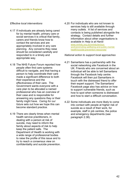#### *Effective local interventions*

- 4.17 If individuals are already being cared for by mental health, primary care or social services it is critical that family, carers and friends know how to contact the services and are appropriately involved in any care planning. Any concerns they raise should be considered carefully and responded to in a timely and appropriate way.
- 4.18 The NHS Future Forum reported how people often find care systems difficult to navigate, and that having a person to help coordinate their care made a significant difference to both their experience and the effectiveness of their care. The Government wants everyone with a care plan to be allocated a named professional who has an overview of their case and is responsible for answering any questions they or their family might have. *Caring for our future* sets out how we hope this can become standard practice.
- 4.19 There are clearly times when mental health service practitioners, in dealing with a person at risk of suicide, may need to inform the family about aspects of risk to help keep the patient safe. The Department of Health is working with a wide range of professional bodies to raise the profile of this issue and to try to reach a consensus view on confidentiality and suicide prevention.

4.20 For individuals who are not known to services help is still available through many outlets. A list of services and contacts is being published alongside the strategy. Contact details and further information about other organisations is available in *Help is at Hand*: [www.nmhdu.org.uk/nmhdu/en/our](http://www.nmhdu.org.uk/nmhdu/en/our-work/promoting-wellbeing-and-public-mental-health/suicide-prevention-resources/)[work/promoting-wellbeing-and-public-mental](http://www.nmhdu.org.uk/nmhdu/en/our-work/promoting-wellbeing-and-public-mental-health/suicide-prevention-resources/)[health/suicide-prevention-resources/](http://www.nmhdu.org.uk/nmhdu/en/our-work/promoting-wellbeing-and-public-mental-health/suicide-prevention-resources/)

- 4.21 Samaritans has a partnership with the social networking site Facebook in the UK. Friends who are concerned about an individual will be able to tell Samaritans through the Facebook help centre. Facebook will then put Samaritans in touch with the distressed friend to offer their expert support. The Samaritans' Facebook page also has advice on how to support vulnerable friends, such as how to spot when someone is distressed and how to start a difficult conversation.
- 4.22 Some individuals are more likely to come into contact with people at higher risk of suicide as a result of their work, for example, staff in job centres, the police and emergency departments (see paragraph 2.38).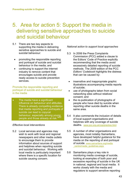# <span id="page-44-0"></span>5. Area for action 5: Support the media in delivering sensitive approaches to suicide and suicidal behaviour

- 5.1 There are two key aspects to supporting the media in delivering sensitive approaches to suicide and suicidal behaviour:
	- promoting the responsible reporting and portrayal of suicide and suicidal behaviour in the media; and
	- continuing to support the internet industry to remove content that encourages suicide and provide ready access to suicide prevention services.

Promote the responsible reporting and portrayal of suicide and suicidal behaviour in the media

The media have a significant influence on behaviour and attitudes. There is already compelling evidence that media reporting and portrayals of suicide can lead to copycat behaviour, especially among young people and those already at risk.<sup>[56](#page-52-0)[57](#page-52-1)</sup>

#### *Effective local interventions*

5.2 Local services and agencies may wish to work with local and regional newspapers and other media outlets to encourage them to provide information about sources of support and helplines when reporting suicide and suicidal behaviour. Working with local media is particularly important where there is a specific location for suicide causing concern.

- 5.3 In 2006 the Press Complaints Commission (PCC) added a clause to the Editors' Code of Practice explicitly recommending that the media avoid excessively detailed reporting of suicide methods. The 2009 edition of the PCC *Editors' Codebook* highlights the distress that can be caused by:
	- insensitive and inappropriate graphic illustrations accompanying media reports of suicide;
	- use of photographs taken from social networking sites without relatives' consent; and
	- the re-publication of photographs of people who have died by suicide when reporting other suicide deaths in the same area.
- 5.4 It also commends the inclusion of details of local support organisations and helplines with any coverage of suicide deaths. [www.pcc.org.uk/cop/practice.html](http://www.pcc.org.uk/cop/practice.html)
- 5.5 A number of other organisations and agencies, most notably Samaritans, have developed helpful guidance for the media on the reporting of and portrayal of suicide. [www.samaritans.org/media](http://www.samaritans.org/media_centre/media_guidelines.aspx) [\\_centre/media\\_guidelines.aspx](http://www.samaritans.org/media_centre/media_guidelines.aspx)
- 5.6 Samaritans plays a key role in monitoring media coverage of suicide, looking at examples of both poor and excessive reporting of suicide in the UK in national, regional and local media. It works closely with the media and regulators to support sensitive reporting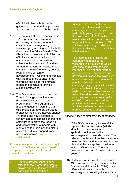of suicide in line with its media guidelines and undertakes proactive training and outreach with the media.

- 5.7 The portrayal of suicide behaviour in TV programmes and film and advertising is also an important consideration. In regulating television programming and film, both Ofcom and the British Board of Film Classification take account of the risk of imitative behaviour which could encourage suicide. Advertising is subject to the Advertising Standards Authority's advertising codes, which contain a range of regulatory controls regarding the content of advertisements. We intend to consult with the regulators to ensure that their rules and guidelines remain robust and continue to provide suitable protections.
- 5.8 The Government is supporting the Time to Change anti-stigma and discrimination social marketing programme. The programme's media engagement work in 2012-13 will: provide an advisory service to broadcast media; pro-actively engage TV drama and news producers, scriptwriters and commissioners; hold seminars to improve the reporting and representation of people with mental health problems; and aim to secure board-level support from media companies. [www.time-to](http://www.time-to-change.org.uk/)[change.org.uk](http://www.time-to-change.org.uk/)

Continue to support the internet industry to remove content that encourages suicide and provide ready access to suicide prevention services

There is growing concern about misuse of the internet to promote suicide and suicide methods.<sup>[58](#page-52-2)</sup> In particular, there has been

widespread condemnation of internet sites that could help and encourage vulnerable people – particularly young people – to take their own lives. In 2005-7 there was evidence that internet use may have contributed to at least 1-2% of suicides, particularly in relation to the use of relatively unusual, highly lethal methods.

The internet also provides an opportunity to reach out to vulnerable individuals who would otherwise be reluctant to seek information, help or support from other agencies. The internet can develop and expand the availability of sources of support to vulnerable people online and can also encourage major organisations that provide content in the most popular parts of the internet (such as social networking sites; search engine providers; and online news media outlets) to develop responsible practices which reduce the availability of harmful content and promote sources of support.

- 5.9 *Safer Children in a Digital World*, the report of the Byron Review (2008), identified some confusion about the application of the law to the encouragement of suicide online. The relevant provisions of the law have since been simplified and modernised to make clear that the law applies to online as well as offline actions. The new provisions came into force on 1 February  $2010.<sup>59</sup>$  $2010.<sup>59</sup>$  $2010.<sup>59</sup>$
- 5.10 Under section 2(1) of the Suicide Act 1961 (as amended by section 59 of the Coroners and Justice Act 2009) it is an offence to do an act capable of encouraging or assisting the suicide or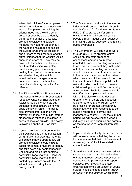<span id="page-46-0"></span>attempted suicide of another person with the intention to so encourage or assist. The person committing the offence need not know the other person or even be able to identify them. So the author of a website promoting suicide and suicide methods may commit an offence if the website encourages or assists the suicide or attempted suicide of one or more of their readers, and the author intends that the website will so encourage or assist. They may be prosecuted whether or not a suicide or attempted suicide takes place. Similarly, any person making a posting to an online chat room or a social networking site which intentionally encourages another person to commit or attempt to commit suicide may be guilty of an offence.

- <span id="page-46-4"></span><span id="page-46-3"></span><span id="page-46-2"></span><span id="page-46-1"></span>5.11 The Director of Public Prosecutions has issued a Policy for Prosecutors in respect of Cases of Encouraging or Assisting Suicide which sets out guidance to prosecutors on how to apply the law in force. The policy also provides information on the relevant evidential and public interest stages which must be considered in cases of assisted suicide. The policy is available on the CPS website.
- <span id="page-46-7"></span><span id="page-46-6"></span><span id="page-46-5"></span>5.12 Content providers are free to make their own policies on the publication of harmful or inappropriate material. We expect that the updated law on promoting suicide should make it easier for content providers to identify and take down any content based in England and Wales that contains potentially illegal material. However, potentially illegal material that is hosted by providers outside the UK will not be covered by these arrangements.
- 5.13 The Government works with the internet industry and content providers through the UK Council for Child Internet Safety (UKCCIS) to create a safer online environment for children and young people through industry self-regulation, improving e-safety education and raising public awareness.
- 5.14 The Government will continue to work through UKCCIS to promote active choice on domestic broadband connections and on new internetenabled devices – prompting consumers to choose which content they wish to be able to access – enabling consumers, should they so choose, to restrict access to the most common content and sites which promote suicide. We will promote the use of default filters on public wifi networks, which could help to prevent children using public wifi from accessing adult content. Technical solutions will not offer the complete solution and UKCCIS is also working to develop greater internet safety and education tools for parents and children. We will be pressing for greater transparency from industry on their responses to the public's reporting of harmful and inappropriate content. Over the summer period, we will be seeking the views of industry, children's charities and parents on the best ways to keep children safe online.
- 5.15 Implemented effectively, these measures will reassure parents that they have the tools to ensure that their children are not accessing harmful suicide-related content online.
- 5.16 Samaritans and others have worked with search engines and social media sites to ensure that ready access is provided to trusted suicide prevention and support services. PAPYRUS, a voluntary organisation for the prevention of young suicide, has developed a leaflet *Action for Safety on the Internet*, which offers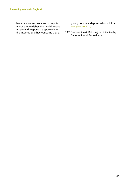<span id="page-47-9"></span><span id="page-47-8"></span><span id="page-47-7"></span><span id="page-47-6"></span><span id="page-47-5"></span><span id="page-47-4"></span><span id="page-47-3"></span><span id="page-47-2"></span><span id="page-47-1"></span><span id="page-47-0"></span>basic advice and sources of help for anyone who wishes their child to take a safe and responsible approach to the internet; and has concerns that a

young person is depressed or suicidal. [www.papyrus-uk.org](http://www.papyrus-uk.org/)

5.17 See section 4.20 for a joint initiative by Facebook and Samaritans.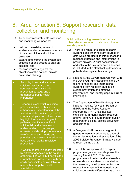# <span id="page-48-0"></span>6. Area for action 6: Support research, data collection and monitoring

- <span id="page-48-1"></span>6.1 To support research, data collection and monitoring we need to:
	- build on the existing research evidence and other relevant sources of data on suicide and suicide prevention;
	- expand and improve the systematic collection of and access to data on suicides; and
	- monitor progress against the objectives of the national suicide prevention strategy.
- <span id="page-48-3"></span><span id="page-48-2"></span>Reliable, timely and accurate suicide statistics are the cornerstone of any suicide prevention strategy and of tremendous public health importance.
- <span id="page-48-4"></span>• Research is essential to suicide prevention. Research studies enhance our understanding of the statistical data provided by ONS to inform strategies and interventions; highlight trends and changes in patterns; identify key factors in suicide risk and enhance our understanding of risk groups; evaluate and develop interventions to reflect changing needs and priorities, and develop the evidence base on what works in suicide prevention.
- <span id="page-48-8"></span><span id="page-48-7"></span><span id="page-48-6"></span><span id="page-48-5"></span>• A wealth of data is already collected by different agencies in the course of their routine work, but only limited information is collected centrally or easily accessible and available to researchers or public health specialists.

Build on the existing research evidence and other relevant sources of data on suicide and suicide prevention

- 6.2 There is a range of existing research evidence and other relevant sources of data which are useful to inform local and regional strategies and interventions to prevent suicide. A brief description of and links to the key information sources is included in the statistical update being published alongside this strategy.
- 6.3 Nationally, the Government will work with the Devolved Administrations in the UK to share national and international evidence from research studies on suicide prevention and effective interventions, and identify gaps in current knowledge.
- 6.4 The Department of Health, through the National Institute for Health Research (NIHR) and the Policy Research Programme (PRP), has invested significantly in mental health research and will continue to support high-quality research on suicide, suicide prevention and self-harm.
- 6.5 A five-year NIHR programme grant to generate research evidence to underpin the implementation and evaluation of the 2002 Suicide Prevention Strategy is due to report during 2012.
- 6.6 The NIHR has approved a five-year programme grant on suicide prevention starting 1 April 2012. This new programme will collect and analyse data on suicide and self-harm as related to the recession; develop interventions to reduce the impact of the recession on suicides; evaluate different forms of risk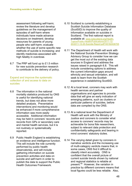<span id="page-49-0"></span>assessment following self-harm; review the literature and develop guidelines on the management of episodes of self-harm where individuals have made advance decisions on treatment; develop resources for parents of young people who self-harm; evaluate whether the use of some specific new methods of suicide is increasing; and identify medicines associated with high fatality in overdose.

<span id="page-49-4"></span><span id="page-49-3"></span><span id="page-49-2"></span><span id="page-49-1"></span>6.7 The PRP will fund up to £1.5 million for new suicide prevention research to contribute to the delivery of policy.

Expand and improve the systematic collection of and access to data on suicides

- <span id="page-49-6"></span><span id="page-49-5"></span>6.8 The information in the national mortality statistics produced by ONS is useful for identifying national trends, but does not allow more detailed analysis. Preventative interventions and monitoring would be enhanced if more comprehensive information was more easily accessible. Additional information may be held in coroners' records and records from GPs or secondary care and mental health services, but it is not routinely or systematically reported.
- <span id="page-49-11"></span><span id="page-49-10"></span><span id="page-49-9"></span><span id="page-49-8"></span><span id="page-49-7"></span>6.9 Public Health England is establishing an evidence and intelligence function. This will include the role currently performed by public health observatories, and will include gathering information on suicide prevention activities and data on suicide and self-harm in order to publish the data to support the Public Health Outcomes Framework.
- 6.10 Scotland is currently establishing a Scottish Suicide Information Database (ScotSID) to improve the quality of information available on suicides in Scotland. The first national report is available at: [www.isdscotland.org/Health-](http://www.isdscotland.org/Health-Topics/Public-Health/Publications/2011-12-20/2011-12-20-Suicide-Report.pdf?45182436705)[Topics/Public-Health/Publications/2011-12-](http://www.isdscotland.org/Health-Topics/Public-Health/Publications/2011-12-20/2011-12-20-Suicide-Report.pdf?45182436705) [20/2011-12-20-Suicide-Report.pdf?45182436705](http://www.isdscotland.org/Health-Topics/Public-Health/Publications/2011-12-20/2011-12-20-Suicide-Report.pdf?45182436705)
- 6.11 The Department of Health will work with the National Suicide Prevention Strategy Advisory Group to consider how we can get the most out of the existing data sources in England and address the issues raised in paragraph 6.8. This will include considering options to address the current information gaps around ethnicity and sexual orientation, and will seek to learn from the Scottish experience in establishing ScotSID.
- 6.12 At a local level, coroners may work with health services and partner organisations and agencies to provide data that will give an early indication of emerging patterns, such as clusters or particular patterns of suicides, before data are compiled by the ONS.
- 6.13 At a national level the Department of Health will work with the Ministry of Justice and coroners to consider what access to coroners' records may be achievable for bona fide researchers, subject to relevant data protection and confidentiality safeguards and bearing in mind coroners' statutory duties.
- 6.14 The varying detail given by coroners in narrative verdicts and the increasing use of multi-category verdicts means that, in some cases, ONS find it difficult to classify intent accurately. ONS is confident that the overall picture of current suicide trends shown by national and regional statistics is reliable at present.<sup>[60](#page-52-4)</sup> However, the variation in practice by different coroners means that local figures could be less reliable. Also,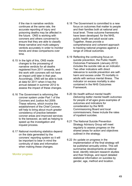<span id="page-50-1"></span><span id="page-50-0"></span>if the rise in narrative verdicts continues at the same rate, the accurate reporting of injury and poisoning deaths may be affected in the future. ONS is working with coroners and others concerned to ensure that they are able to classify these narrative and multi-category verdicts accurately in order to monitor trends and draw comparisons over time.

- <span id="page-50-3"></span><span id="page-50-2"></span>6.15 In the light of this, ONS made changes to the processing of narrative verdicts for all deaths registered from 2011 onwards, and the work with coroners will not have an impact until later in that year. Accordingly, ONS will be able to look at data for 2011 when it has the annual dataset in summer 2012 to assess the impact of these changes.
- <span id="page-50-5"></span><span id="page-50-4"></span>6.16 The Government is reforming the coroner system under Part 1 of the Coroners and Justice Act 2009. These reforms, which involve the establishment of the Chief Coroner, will help to bring about much greater consistency of practice between coroner areas and improved services to the bereaved, as well as helping to speed up the investigation and inquest process.
- <span id="page-50-7"></span><span id="page-50-6"></span>6.17 National monitoring statistics depend on the data generated by the coroners' reporting system so it will be important to bear in mind the continuity of data and information when making these changes.

#### <span id="page-50-8"></span>Monitor progress

- 6.18 The Government is committed to a new focus on outcomes that matter to people and their families both at national and local level. Three outcome frameworks have been developed: for the NHS, public health and adult social care. Together, these provide a comprehensive and coherent approach to tracking national progress against a range of critical outcomes.
- 6.19 Reflecting the continuing focus on suicide prevention, the Public Health Outcomes Framework (January 2012) includes the suicide rate as an indicator. Two other indicators with direct relevance to suicide prevention are selfharm and excess under 75 mortality in adults with serious mental illness. The indicator on excess mortality is also contained in the NHS Outcomes Framework.
- 6.20 *No health without mental health: Delivering better mental health outcomes for people of all ages* gives examples of outcomes and indicators for consideration by the NHS Commissioning Board and local commissioners; these include the rates of inpatient suicides.
- 6.21 The National Suicide Prevention Strategy Advisory Group will meet regularly to assess progress on the shared areas for action and objectives outlined in the strategy.
- 6.22 An update on progress in the implementation of the final strategy will be published annually online. This will summarise developments at national level, identify relevant research studies and their findings, and report detailed statistical information on suicides by gender, age, method and location.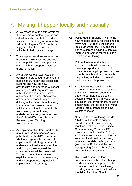# <span id="page-51-1"></span><span id="page-51-0"></span>7. Making it happen locally and nationally

- 7.1 A key message of this strategy is that there are many sectors, groups and individuals who can help to reduce suicide. Each priority area for action, set out in chapters 1 to 6, contains suggested local and national activities to help deliver change.
- <span id="page-51-3"></span><span id="page-51-2"></span>7.2 This chapter describes some of the broader context, systems and bodies, such as public health and primary care, which will support several of the areas for action.
- <span id="page-51-4"></span>7.3 *No health without mental health*  outlines the proposed reforms to the public health, health and social care systems and how the new architecture and approach will affect planning and delivery of improved public health and mental health outcomes. It also describes crossgovernment actions to support the delivery of the mental health strategy. Many have direct relevance to suicide prevention; for example, the work on employment being undertaken across government and the Ministerial Working Group on Preventing and Tackling Homelessness.
- <span id="page-51-8"></span><span id="page-51-7"></span><span id="page-51-6"></span><span id="page-51-5"></span>7.4 An implementation framework for *No health without mental health* was published in July 2012. This sets out what local organisations can do to implement the strategy, what work is underway nationally to support them, and how progress against the strategy's aims will be measured. The implementation framework explicitly covers suicide prevention, and will support local agencies in implementing this strategy.

#### Public Health

- 7.5 Public Health England (PHE) is the new national agency for public health (from April 2013) and will support local authorities, the NHS and their partners across England to achieve improved outcomes for the public's health and wellbeing.
- 7.6 PHE will take a leadership role across public health services, providing expertise and support to local areas to help improve outcomes in public health and reduce health inequalities, including on mental health and suicide prevention.
- 7.7 An effective local public health approach is fundamental to suicide prevention. This will depend on effective partnerships across all sectors including health, social care, education, the environment, housing, employment, the police and criminal justice system, transport and the voluntary sector.
- 7.8 New health and wellbeing boards (HWBs) will be able to support suicide prevention as they bring together local councillors, Clinical Commissioning Groups (CCGs), directors of public health (DsPH), adult social services and children's services, local Healthwatch and, where appropriate, wider partners (such as the Police and the Local Safeguarding Children Board) and community organisations.
- 7.9 HWBs will assess the local community's health and wellbeing needs and assets. Improvements in population health and wellbeing, including mental health, will reduce the risks of suicide. Specific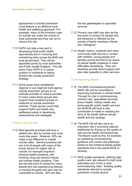<span id="page-52-0"></span>approaches to suicide prevention could feature in an effective local health and wellbeing approach. For example, many of the locations used for suicide are under the control of local authorities and they can act to reduce this risk.

- <span id="page-52-3"></span><span id="page-52-2"></span><span id="page-52-1"></span>7.10 DsPH can play a key part in developing local public health approaches and in nurturing and maintaining links across the NHS and local government. They will be appointed jointly by local authorities and Public Health England. This will place many DsPH in a unique position to contribute to taking forward the suicide prevention strategy.
- <span id="page-52-4"></span>7.11 Some areas have established regional or sub-regional multi agency suicide prevention groups to coordinate activities to reduce suicides. In many cases these groups also support more localised groups or networks of suicide prevention activists. These groups could help support DsPH and health and wellbeing boards in developing assessments and strategies.

#### Primary care services

7.12 Most general practices will have a patient who dies by suicide only once every few years. However, GPs can make a big difference to overall suicide rates. General practices will see a lot of people with many of the known factors for higher risk of suicide, for example long-term physical health problems, selfharming, drug and alcohol misuse and mental health problems. They are the first point of contact for many people who are experiencing distress or suicidal thoughts and who may be vulnerable to suicide. GPs are also

the key gatekeepers to specialist services.

- 7.13 Primary care staff may also be the first point of contact for people who are bereaved or affected by the suicide of family members, friends and colleagues.
- 7.14 Health visitors, midwives and other community staff may be in contact with children, young people and families and be the first to be aware of mental health problems or other difficulties developing. They can therefore provide direct support and also refer speedily to other services.

#### Commissioning reforms

- 7.15 The NHS Commissioning Board (NHS CB) will be committed to improving outcomes in mental health. Through its role in commissioning primary care, specialised services, prison health, military health and some specific public health services, the NHSCB will have a vital contribution to make in realising the aims of *No health without mental health* and this strategy.
- 7.16 The NHS CB will also have an important role in providing national leadership for driving up the quality of care across health commissioning. The Board could do this, for example, by publishing commissioning guidance and model care pathways, based on the evidence-based quality standards that it has asked NICE to develop.
- 7.17 NICE quality standards, defining high quality care, are relevant to both local authorities and CCGs in their commissioning roles. Existing quality standards relevant to suicide prevention include alcohol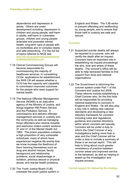dependence and depression in adults. Others are under development including: depression in children and young people; self-harm in adults; self-harm in vulnerable groups, children and young people; antenatal and postnatal mental health; long-term care of people with co-morbidities and or complex needs and safe prescribing. For the full list of topics referred to NICE see [www.nice.org.uk/guidance/qualitystandards/](http://www.nice.org.uk/guidance/qualitystandards/QualityStandardsLibrary.jsp) [QualityStandardsLibrary.jsp](http://www.nice.org.uk/guidance/qualitystandards/QualityStandardsLibrary.jsp)

- 7.18 Clinical Commissioning Groups will become responsible for commissioning the majority of healthcare services. In considering CCGs' applications for establishment, the NHS CB will assess whether a CCG has the capacity and capability to commission improved outcomes for the people who need support for mental health.
- 7.19 The National Offender Management Service *(*NOMS) is an executive agency of the Ministry of Justice, and brings together HM Prison Service and the Probation Service. It commissions and delivers offender management services in custody and the community as well as managing those offenders who receive hospital and restriction orders unders sections 37 and 41 of the Mental Health Act 1983. The prison population contains a high proportion of very vulnerable individuals, many of whom have experienced negative life events that we know increase the likelihood of them harming themselves such as drug and alcohol misuse, family background and relationship problems, social disadvantage or isolation, previous sexual or physical abuse, and mental health problems.
- 7.20 The Youth Justice Board (YJB) oversees the youth justice system in

England and Wales. The YJB works to prevent offending and reoffending by young people, and to ensure that those held in custody are safe and secure.

#### **Coroners**

- 7.21 Suspected suicide deaths will always be reported to a coroner, who will certify the death after an inquest. Coroners have an important role in establishing via inquest proceedings the who, how and where of these deaths. The coroner's office will be able to help bereaved families to find support from local and national organisations.
- 7.22 The Government is reforming the coroner system under Part 1 of the Coroners and Justice Act 2009. These reforms include establishing a Chief Coroner who, for the first time, will be responsible for providing national leadership to coroners in England and Wales. He will also play a key role in setting new national standards and developing a new statutory framework for coroners including rules and regulations, guidance and practice directions within which coroners will operate. Coroners will be under a duty to inform the Chief Coroner of any investigations lasting more than a year and the Chief Coroner will be under a duty to include a summary of these in an annual report. This will help to bring about much greater consistency of practice between coroner areas and improved service to the bereaved, as well as helping to speed up the investigation and inquest process.

Central support for delivering the strategy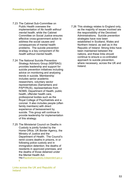- 7.23 The Cabinet Sub-Committee on Public Health oversees the implementation of *No health without mental health*, while the Cabinet Committee on Social Justice ensures effective cross-government action to address the social causes and consequences of mental health problems. The suicide prevention strategy is a key component of *No health without mental health.*
- 7.24 The National Suicide Prevention Strategy Advisory Group (NSPSAG) provides leadership and support for suicide prevention initiatives including advice on monitoring and analysing trends in suicide. Membership includes senior academic researchers, voluntary sector representatives (Samaritans and PAPYRUS), representatives from NOMS, Department of Health, public health, offender health care, professional bodies such as the Royal College of Psychiatrists and a coroner. It also includes people (often family members) with direct experience of bereavement by suicide. This group will continue to provide leadership for implementation of this strategy.
- 7.25 The Ministerial Council on Deaths in Custody is jointly funded by the Home Office, UK Border Agency, the Ministry of Justice and the Department of Health. The Council's remit covers deaths in prisons, in or following police custody and in immigration detention; the deaths of residents in approved premises; and the deaths of those detained under the Mental Health Act.<br>http:/[/iapdeathsincustody.independent.gov.u](http://www.iapdeathsincustody.independent.gov.uk/) [k](http://www.iapdeathsincustody.independent.gov.uk/)

Links across the UK and Republic of Ireland

7.26 This strategy relates to England only, as the majority of issues involved are the responsibility of the Devolved Administrations. Suicide prevention strategies have now been established in Scotland, Wales and Northern Ireland, as well as in the Republic of Ireland. Strong links have been maintained between the nations, and these links should continue to ensure a co-ordinated approach to suicide prevention, where necessary, across the UK and Ireland.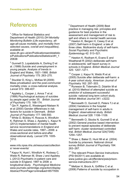# <span id="page-55-0"></span>References

<sup>1</sup> Office for National Statistics and

Department of Health (2010) *DH Mortality Monitoring Bulletin (Life expectancy, allage-all-cause mortality, and mortality from selected causes, overall and inequalities)*, available at:

www.dh.gov.uk/en/Publicationsandstatistic s/Publications/PublicationsStatistics/dH\_1 20638

<sup>2</sup> Gunnell D, Lopatatzidis A, Dorling D et al. (1999) Suicide and unemployment in young people. Analysis of trends in England and Wales, 1921–1995. *British Journal of Psychiatry* 175: 263–270.

<sup>3</sup> Stuckler D, King L, McKee M (2009) Mass privatisation and the post-communist mortality crisis: a cross-national analysis. *Lancet* 373: 399-407.

<sup>4</sup> Appleby L, Cooper J, Amos T et al. (1999) Psychological autopsy of suicides by people aged under 35*. British Journal of Psychiatry* 175: 168-174.

<sup>5</sup> Qin P, Agerbo E, Westergard-Nielsen N et al (2000) Gender differences in risk factors for suicide in Denmark. *British Journal of Psychiatry* 177: 546-550. <sup>6</sup> While D, Bickley H, Roscoe A, Windfuhr K, Rahman S, Shaw J, Appleby L, Kapur N (2012) Implementation of mental health service recommendations in England and Wales and suicide rates, 1997—2006: a cross-sectional and before-and-after observational study. *Lancet* 379: 1005- 1012. 7

www.nrls.npsa.nhs.uk/resources/collection s/ never-events/

<sup>8</sup> Kapur N, Hunt I, Windfuhr K, Rodway C, Webb R, Rahman M, Shaw J and Appleby L (2012) Psychiatric in-patient care and suicide in England, 1997 to 2008: a longitudinal study. *Psychological Medicine* www.journals.cambridge.org/action/display Abstract?fromPage=online&aid=8577655

 $9$  Department of Health (2009) Best practice in managing risk: principles and guidance for best practice in the assessment and management of risk to self and others in mental health services <sup>10</sup> Hawton K, Bergen H, Casey D et al. (2007) Self-harm in England: a tale of three cities. Multicentre study of self-harm. *Social Psychiatry and Psychiatric Epidemiology* 42: 513–521.

 $11$  Hawton K, Rodham K, Evans E and Weatherall R (2002) deliberate self-harm in adolescents: self report survey in schools in England. *British Medical Journal*  325: 1207–1211.

Cooper J, Kapur N, Webb R et al. (2005) Suicide after deliberate self-harm: a 4-year cohort study. *American Journal of Psychiatry* 162: 297–303.

<sup>13</sup> Runeson B, Tidemalm D, Ddahlin M et al. (2010) Method of attempted suicide as predictor of subsequent successful suicide: national long term cohort study. *British Medical Journal* 341: c3222.

<sup>14</sup> Bennewith O, Gunnell D, Peters TJ et al. (2004) Variations in the hospital management of self-harm in adults in England: observational study. *British Medical Journal* 328: 1108–1109.

<sup>15</sup> Bennewith O, Stocks N, Gunnell D et al. (2002) General practice based intervention to prevent repeat episodes of deliberate self harm: cluster randomised controlled trial. *British Medical Journal* 324(7348): 1254–1257.

<sup>16</sup> Shaw J, Baker D, Hunt IM et al. (2004) Suicide by prisoners: National clinical survey *British Journal of Psychiatry* 184: 263–267.

<sup>17</sup> The relevant Prison Service Instructions (PSI 64/2011) are available at: www.justice.gov.uk/offenders/psis/prisonservice-instructions-2011

<sup>18</sup> Meltzer H, Brock A, Griffiths C et al. (2006) Patterns of suicide by occupation in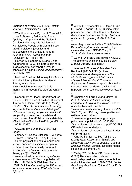England and Wales: 2001–2005. *British Journal of Psychiatry* 193: 73–76.

<sup>19</sup> Windfhur K, While D, Hunt I, Turnbull P, Lowe R, Burns J, Swinson N, Shaw J, Appleby L, Kapur N and the National Confidential Inquiry into Suicide and Homicide by People with Mental Illness (2008) Suicide in juveniles and adolescents in the United Kingdom. *Journal of Child Psychology and Psychiatry* 49: 1155-1165.  $20$  Hawton K, Rodham K, Evans E and Weatherall R (2002) deliberate self-harm in adolescents: self report survey in schools in England. *British Medical Journal*  325: 1207–1211.

<sup>21</sup> National Confidential Inquiry into Suicide and Homicide by People with Mental Illness, available at:

www.medicine.manchester.ac.uk/ mentalhealth/research/suicide/prevention/ nci

<sup>22</sup> Department of Health, Department for Children, Schools and Families, Ministry of Justice and Home Office (2009) *Healthy Children, Safer Communities – A strategy to promote the health and well-being of children and young people in contact with the youth justice system*, available at: www.dh.gov.uk/en/Publicationsandstatistic s/Publications/PublicationsPolicyAndGuida nce/dH\_109771

<sup>23</sup> [www.dh.gov.uk/health/2012/07/cyp](http://www.dh.gov.uk/health/2012/07/cyp-report/_)[report/](http://www.dh.gov.uk/health/2012/07/cyp-report/_)

<sup>24</sup> Joiner Jr T, Sachs-Ericsson N, Wingate L, Brown J, Anestis M, Selby E (2007) Children physical and sexual abuse and lifetime number of suicide attempts: A persistent and theoretically important relationship. *Behaviour Research and Therapy* 45(3): 539-547.

<sup>25</sup> [www.southallblacksisters.org.uk/safe](http://www.southallblacksisters.org.uk/safe-and-sane-report-2011-copyright-sbs.pdf)[and-sane-report-2011-copyright-sbs.pdf](http://www.southallblacksisters.org.uk/safe-and-sane-report-2011-copyright-sbs.pdf) <sup>26</sup> Kapur N, While D, Blatchley N et al. (2009) Suicide after leaving the UK armed forces – a cohort study. *PLoS Medicine*  6(3): e26.

 $27$  Webb T, Kontopantelis E, Doran T, Qin P, Creed F, Kapur N (012) Suicide risk in primary care patients with major physical diseases: A case-control study. *Archives of General Psychiatry* 69(3): 256-264. 28

[www.dh.gov.uk/health/files/2012/07/White-](http://www.dh.gov.uk/health/files/2012/07/White-Paper-Caring-for-our-future-reforming-care-and-support-PDF-1580K.pdf_)[Paper-Caring-for-our-future-reforming](http://www.dh.gov.uk/health/files/2012/07/White-Paper-Caring-for-our-future-reforming-care-and-support-PDF-1580K.pdf_)[care-and-support-PDF-1580K.pdf](http://www.dh.gov.uk/health/files/2012/07/White-Paper-Caring-for-our-future-reforming-care-and-support-PDF-1580K.pdf_) <sup>29</sup> <http://cebmh.warne.ox.ac.uk/csr>

 $30$  Gunnell D, Platt S and Hawton K (2009) The economic crisis and suicide *British Medical Journal*, 338: b1891.

<sup>31</sup> Weaver T, Charles V, Madden P and Renton A (2002) *A Study of the Prevalence and Management of Co-Morbidity amongst Adult Substance Misuse & Mental Health Treatment Populations*. Research report submitted to the department of Health, available at: http://dmri.lshtm.ac.uk/docs/weaver\_es.pdf .

<sup>32</sup> Singleton N, Farrell M and Meltzer H (1999) *Substance Misuse among Prisoners in England and Wales*. London: office for National Statistics.

<sup>33</sup>www.emc.medicines.org.uk/medicine/39 57/PIL/Zyban+150+mg+prolonged+releas e+film-coated+tablets/

<sup>34</sup> www.mhra.gov.uk/home/groups/plp/documents/publication/con030924.pdf 35www.nice.org.uk/nicemedia/pdf/CG022NI CEguidelineamended.pdf

36www.nice.org.uk/nicemedia/live/12329/4 5888/45888.pdf

<sup>37</sup> King M, Semlyen J, See Tai S et al. (2008) *Mental Disorders, Suicide and Deliberate Self-Harm in Lesbian, Gay and Bisexual People*. London: National Mental Health development Unit.

38 Mathy RM, Cochran SD, Olsen J et al. (2009) The association between relationship markers of sexual orientation and suicide: denmark, 1990– 2001. *Social Psychiatry Psychiatric Epidemiology* 46(2): 111–117.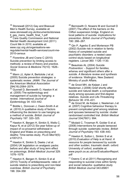<sup>39</sup> Stonewall (2012) Gay and Bisexual Men's Health Survey, available at: [www.stonewall.org.uk/documents/stonewa](http://www.stonewall.org.uk/documents/stonewall_gay_mens_health_final_1.pdf_) [ll\\_gay\\_mens\\_health\\_final\\_1.pdf](http://www.stonewall.org.uk/documents/stonewall_gay_mens_health_final_1.pdf_) <sup>40</sup> Care Quality Commission and National Mental Health development Unit (2011) *Count Me In 2010*, available at: www.cqc.org.uk/organisations-weregulate/mental-health-services/count-me-2010-census

<sup>41</sup> Florentine JB and Crane C (2010) Suicide prevention by limiting access to methods: a review of theory and practice. *Social Science & Medicine* 70(10): 1626– 1632.

<sup>42</sup> Mann JJ, Apter A, Bertolote J et al. (2005) Suicide prevention strategies: a systematic review. *JAMA: The Journal of the American Medical Association*  294(16):2064–2074.

43 Gunnell D, Bennewith O, Hawton K et al. (2005) The epidemiology and management of suicide by hanging: a review. *International Journal of Epidemiology* 34: 433–442.

<sup>44</sup> Biddle L, Donovan J, Owen-Smith A et al. (2010) A qualitative study of factors influencing the decision to use hanging as a method of suicide. *British Journal of Psychiatry* 197: 320–325.

45 Hawton K, Bergen H, Simkin S, Wells C, Kapur N, et al (2012) Six-year follow-up of impact of co-proxamol withdrawal in England and Wales on prescribing and deaths: Time-series study. *PLoS Med* 9(5): e1001213.

<sup>46</sup> Hawton K, Simkin S, Deeks J et al. (2004) UK legislation on analgesic packs: before and after study of long term effect on poisonings. *British Medical Journal* 329: 1076–1079.

<sup>47</sup> Hawton K, Bergen H, Simkin S et al (2010) Toxicity of antidepressants: rates of suicide relative to prescribing and non-fatal overdose. *British Journal of Psychiatry*  196: 354-358

<sup>48</sup> Bennewith O. Nowers M and Gunnell D (2007) The effect of the barriers on the Clifton suspension bridge, England on local patterns of suicide: implications for prevention. *British Journal of Psychiatry*  190: 266–267.

 $49$  Qin P, Agerbo E and Mortenson PB (2002) Suicide risk in relation to family history of completed suicide and psychiatric disorders: a nested casecontrol study based on longitudinal registers. *Lancet* 360: 1126–1130.

<sup>50</sup> Beautrais AL (2004) *Suicide Postvention: - Support for families, whanau and significant others after a suicide*. *A literature review and synthesis of evidence*. Wellington, New Zealand: Ministry of youth Affairs.

<sup>51</sup> de Groot MH, de Keijser J and Neeleman J (2006) Grief shortly after suicide and natural death: a comparative study among spouses and first-degree relatives. *Suicide and Life-Threatening Behavior* 36: 418–431.

<sup>52</sup> de Groot M, de Keijser J, Neeleman J et al. (2007) Cognitive behaviour therapy to prevent complicated grief among relatives and spouses bereaved by suicide: cluster randomised controlled trial. *British Medical Journal* 334(7601): 994.

<sup>53</sup> Mcdaid C, Trowman R, Golder S et al. (2008) Interventions for people bereaved through suicide: systematic review. *British Journal of Psychiatry* 193: 438–443.

<sup>54</sup> Hawton K, Sutton L, Simkin S et al. (2010) *Evaluation of* Help is at Hand*: A resource for people bereaved by suicide and other sudden, traumatic death*. oxford: University of oxford, available at: www.psych.ox.ac.uk/csr/EvaluationReport. pdf

<sup>55</sup> Owens C et al (2011) Recognising and responding to suicidal crisis within family and social networks: qualitative study *British Medical Journal* 343:d5801